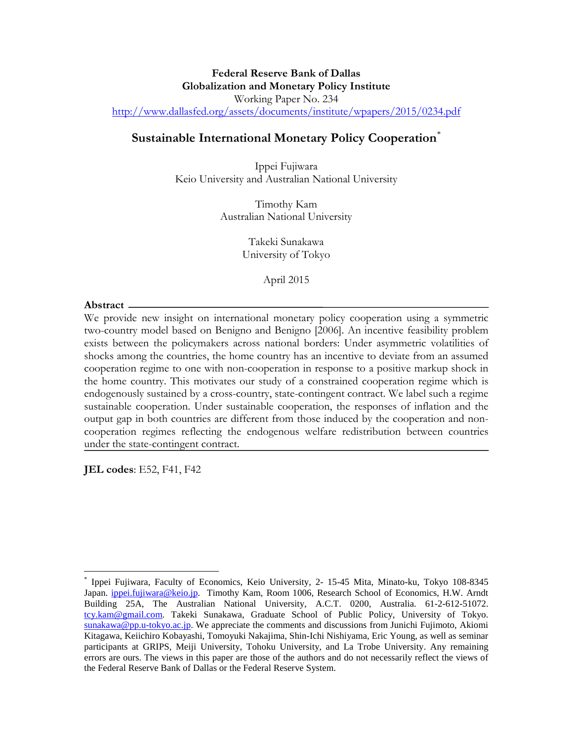## **Federal Reserve Bank of Dallas Globalization and Monetary Policy Institute**  Working Paper No. 234 <http://www.dallasfed.org/assets/documents/institute/wpapers/2015/0234.pdf>

## **Sustainable International Monetary Policy Cooperation**[\\*](#page-0-0)

Ippei Fujiwara Keio University and Australian National University

> Timothy Kam Australian National University

> > Takeki Sunakawa University of Tokyo

> > > April 2015

#### **Abstract**

 $\overline{a}$ 

We provide new insight on international monetary policy cooperation using a symmetric two-country model based on Benigno and Benigno [2006]. An incentive feasibility problem exists between the policymakers across national borders: Under asymmetric volatilities of shocks among the countries, the home country has an incentive to deviate from an assumed cooperation regime to one with non-cooperation in response to a positive markup shock in the home country. This motivates our study of a constrained cooperation regime which is endogenously sustained by a cross-country, state-contingent contract. We label such a regime sustainable cooperation. Under sustainable cooperation, the responses of inflation and the output gap in both countries are different from those induced by the cooperation and noncooperation regimes reflecting the endogenous welfare redistribution between countries under the state-contingent contract.

**JEL codes**: E52, F41, F42

<span id="page-0-0"></span><sup>\*</sup> Ippei Fujiwara, Faculty of Economics, Keio University, 2- 15-45 Mita, Minato-ku, Tokyo 108-8345 Japan. [ippei.fujiwara@keio.jp.](mailto:ippei.fujiwara@keio.jp) Timothy Kam, Room 1006, Research School of Economics, H.W. Arndt Building 25A, The Australian National University, A.C.T. 0200, Australia. 61-2-612-51072. [tcy.kam@gmail.com.](mailto:tcy.kam@gmail.com) Takeki Sunakawa, Graduate School of Public Policy, University of Tokyo. [sunakawa@pp.u-tokyo.ac.jp.](mailto:sunakawa@pp.u-tokyo.ac.jp) We appreciate the comments and discussions from Junichi Fujimoto, Akiomi Kitagawa, Keiichiro Kobayashi, Tomoyuki Nakajima, Shin-Ichi Nishiyama, Eric Young, as well as seminar participants at GRIPS, Meiji University, Tohoku University, and La Trobe University. Any remaining errors are ours. The views in this paper are those of the authors and do not necessarily reflect the views of the Federal Reserve Bank of Dallas or the Federal Reserve System.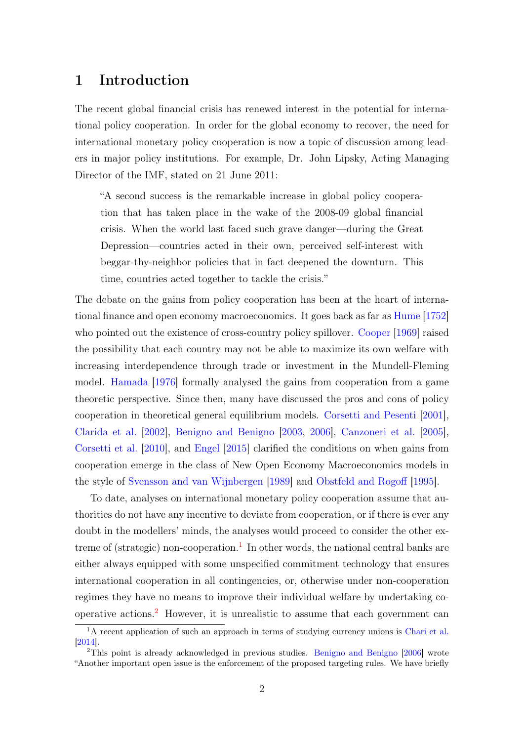# 1 Introduction

The recent global financial crisis has renewed interest in the potential for international policy cooperation. In order for the global economy to recover, the need for international monetary policy cooperation is now a topic of discussion among leaders in major policy institutions. For example, Dr. John Lipsky, Acting Managing Director of the IMF, stated on 21 June 2011:

"A second success is the remarkable increase in global policy cooperation that has taken place in the wake of the 2008-09 global financial crisis. When the world last faced such grave danger—during the Great Depression—countries acted in their own, perceived self-interest with beggar-thy-neighbor policies that in fact deepened the downturn. This time, countries acted together to tackle the crisis."

The debate on the gains from policy cooperation has been at the heart of international finance and open economy macroeconomics. It goes back as far as [Hume](#page-27-0) [\[1752\]](#page-27-0) who pointed out the existence of cross-country policy spillover. [Cooper](#page-27-1) [\[1969\]](#page-27-1) raised the possibility that each country may not be able to maximize its own welfare with increasing interdependence through trade or investment in the Mundell-Fleming model. [Hamada](#page-27-2) [\[1976\]](#page-27-2) formally analysed the gains from cooperation from a game theoretic perspective. Since then, many have discussed the pros and cons of policy cooperation in theoretical general equilibrium models. [Corsetti and Pesenti](#page-27-3) [\[2001\]](#page-27-3), [Clarida et al.](#page-26-0) [\[2002\]](#page-26-0), [Benigno and Benigno](#page-26-1) [\[2003,](#page-26-1) [2006\]](#page-26-2), [Canzoneri et al.](#page-26-3) [\[2005\]](#page-26-3), [Corsetti et al.](#page-27-4) [\[2010\]](#page-27-4), and [Engel](#page-27-5) [\[2015\]](#page-27-5) clarified the conditions on when gains from cooperation emerge in the class of New Open Economy Macroeconomics models in the style of [Svensson and van Wijnbergen](#page-28-0) [\[1989\]](#page-28-0) and [Obstfeld and Rogoff](#page-28-1) [\[1995\]](#page-28-1).

To date, analyses on international monetary policy cooperation assume that authorities do not have any incentive to deviate from cooperation, or if there is ever any doubt in the modellers' minds, the analyses would proceed to consider the other ex-treme of (strategic) non-cooperation.<sup>[1](#page-1-0)</sup> In other words, the national central banks are either always equipped with some unspecified commitment technology that ensures international cooperation in all contingencies, or, otherwise under non-cooperation regimes they have no means to improve their individual welfare by undertaking co-operative actions.<sup>[2](#page-1-1)</sup> However, it is unrealistic to assume that each government can

<span id="page-1-0"></span> $\overline{1_A}$  recent application of such an approach in terms of studying currency unions is [Chari et al.](#page-26-4) [\[2014\]](#page-26-4).

<span id="page-1-1"></span><sup>&</sup>lt;sup>2</sup>This point is already acknowledged in previous studies. [Benigno and Benigno](#page-26-2) [\[2006\]](#page-26-2) wrote "Another important open issue is the enforcement of the proposed targeting rules. We have briefly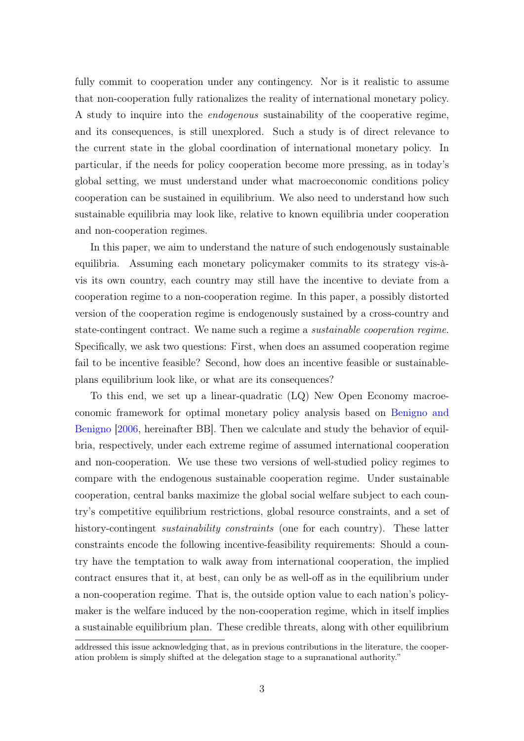fully commit to cooperation under any contingency. Nor is it realistic to assume that non-cooperation fully rationalizes the reality of international monetary policy. A study to inquire into the endogenous sustainability of the cooperative regime, and its consequences, is still unexplored. Such a study is of direct relevance to the current state in the global coordination of international monetary policy. In particular, if the needs for policy cooperation become more pressing, as in today's global setting, we must understand under what macroeconomic conditions policy cooperation can be sustained in equilibrium. We also need to understand how such sustainable equilibria may look like, relative to known equilibria under cooperation and non-cooperation regimes.

In this paper, we aim to understand the nature of such endogenously sustainable equilibria. Assuming each monetary policymaker commits to its strategy vis-àvis its own country, each country may still have the incentive to deviate from a cooperation regime to a non-cooperation regime. In this paper, a possibly distorted version of the cooperation regime is endogenously sustained by a cross-country and state-contingent contract. We name such a regime a sustainable cooperation regime. Specifically, we ask two questions: First, when does an assumed cooperation regime fail to be incentive feasible? Second, how does an incentive feasible or sustainableplans equilibrium look like, or what are its consequences?

To this end, we set up a linear-quadratic (LQ) New Open Economy macroeconomic framework for optimal monetary policy analysis based on [Benigno and](#page-26-2) [Benigno](#page-26-2) [\[2006,](#page-26-2) hereinafter BB]. Then we calculate and study the behavior of equilbria, respectively, under each extreme regime of assumed international cooperation and non-cooperation. We use these two versions of well-studied policy regimes to compare with the endogenous sustainable cooperation regime. Under sustainable cooperation, central banks maximize the global social welfare subject to each country's competitive equilibrium restrictions, global resource constraints, and a set of history-contingent *sustainability constraints* (one for each country). These latter constraints encode the following incentive-feasibility requirements: Should a country have the temptation to walk away from international cooperation, the implied contract ensures that it, at best, can only be as well-off as in the equilibrium under a non-cooperation regime. That is, the outside option value to each nation's policymaker is the welfare induced by the non-cooperation regime, which in itself implies a sustainable equilibrium plan. These credible threats, along with other equilibrium

addressed this issue acknowledging that, as in previous contributions in the literature, the cooperation problem is simply shifted at the delegation stage to a supranational authority."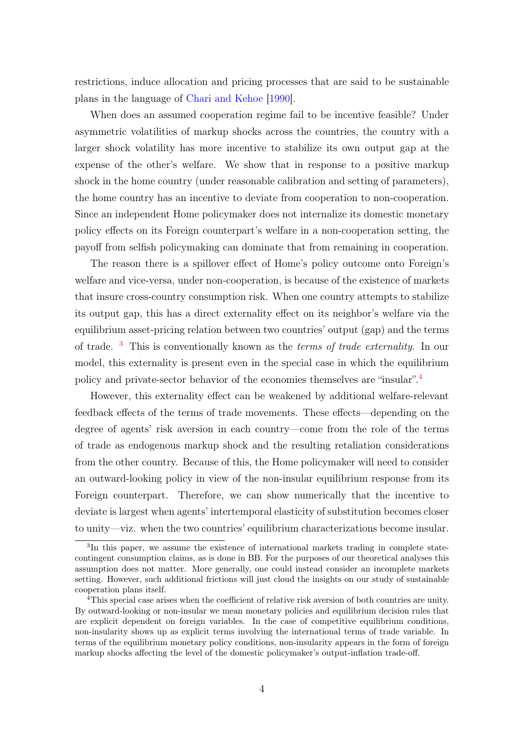restrictions, induce allocation and pricing processes that are said to be sustainable plans in the language of [Chari and Kehoe](#page-26-5) [\[1990\]](#page-26-5).

When does an assumed cooperation regime fail to be incentive feasible? Under asymmetric volatilities of markup shocks across the countries, the country with a larger shock volatility has more incentive to stabilize its own output gap at the expense of the other's welfare. We show that in response to a positive markup shock in the home country (under reasonable calibration and setting of parameters), the home country has an incentive to deviate from cooperation to non-cooperation. Since an independent Home policymaker does not internalize its domestic monetary policy effects on its Foreign counterpart's welfare in a non-cooperation setting, the payoff from selfish policymaking can dominate that from remaining in cooperation.

The reason there is a spillover effect of Home's policy outcome onto Foreign's welfare and vice-versa, under non-cooperation, is because of the existence of markets that insure cross-country consumption risk. When one country attempts to stabilize its output gap, this has a direct externality effect on its neighbor's welfare via the equilibrium asset-pricing relation between two countries' output (gap) and the terms of trade.  $3$  This is conventionally known as the *terms of trade externality*. In our model, this externality is present even in the special case in which the equilibrium policy and private-sector behavior of the economies themselves are "insular".[4](#page-3-1)

However, this externality effect can be weakened by additional welfare-relevant feedback effects of the terms of trade movements. These effects—depending on the degree of agents' risk aversion in each country—come from the role of the terms of trade as endogenous markup shock and the resulting retaliation considerations from the other country. Because of this, the Home policymaker will need to consider an outward-looking policy in view of the non-insular equilibrium response from its Foreign counterpart. Therefore, we can show numerically that the incentive to deviate is largest when agents' intertemporal elasticity of substitution becomes closer to unity—viz. when the two countries' equilibrium characterizations become insular.

<span id="page-3-0"></span><sup>&</sup>lt;sup>3</sup>In this paper, we assume the existence of international markets trading in complete statecontingent consumption claims, as is done in BB. For the purposes of our theoretical analyses this assumption does not matter. More generally, one could instead consider an incomplete markets setting. However, such additional frictions will just cloud the insights on our study of sustainable cooperation plans itself.

<span id="page-3-1"></span><sup>4</sup>This special case arises when the coefficient of relative risk aversion of both countries are unity. By outward-looking or non-insular we mean monetary policies and equilibrium decision rules that are explicit dependent on foreign variables. In the case of competitive equilibrium conditions, non-insularity shows up as explicit terms involving the international terms of trade variable. In terms of the equilibrium monetary policy conditions, non-insularity appears in the form of foreign markup shocks affecting the level of the domestic policymaker's output-inflation trade-off.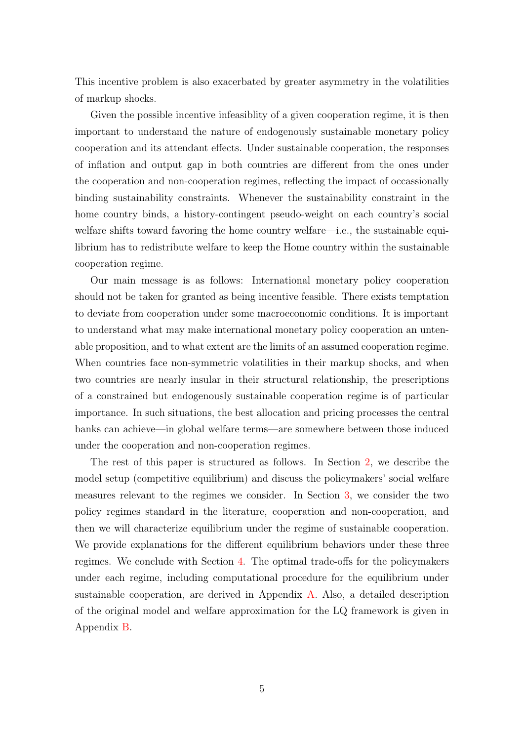This incentive problem is also exacerbated by greater asymmetry in the volatilities of markup shocks.

Given the possible incentive infeasiblity of a given cooperation regime, it is then important to understand the nature of endogenously sustainable monetary policy cooperation and its attendant effects. Under sustainable cooperation, the responses of inflation and output gap in both countries are different from the ones under the cooperation and non-cooperation regimes, reflecting the impact of occassionally binding sustainability constraints. Whenever the sustainability constraint in the home country binds, a history-contingent pseudo-weight on each country's social welfare shifts toward favoring the home country welfare—i.e., the sustainable equilibrium has to redistribute welfare to keep the Home country within the sustainable cooperation regime.

Our main message is as follows: International monetary policy cooperation should not be taken for granted as being incentive feasible. There exists temptation to deviate from cooperation under some macroeconomic conditions. It is important to understand what may make international monetary policy cooperation an untenable proposition, and to what extent are the limits of an assumed cooperation regime. When countries face non-symmetric volatilities in their markup shocks, and when two countries are nearly insular in their structural relationship, the prescriptions of a constrained but endogenously sustainable cooperation regime is of particular importance. In such situations, the best allocation and pricing processes the central banks can achieve—in global welfare terms—are somewhere between those induced under the cooperation and non-cooperation regimes.

The rest of this paper is structured as follows. In Section [2,](#page-5-0) we describe the model setup (competitive equilibrium) and discuss the policymakers' social welfare measures relevant to the regimes we consider. In Section [3,](#page-11-0) we consider the two policy regimes standard in the literature, cooperation and non-cooperation, and then we will characterize equilibrium under the regime of sustainable cooperation. We provide explanations for the different equilibrium behaviors under these three regimes. We conclude with Section [4.](#page-25-0) The optimal trade-offs for the policymakers under each regime, including computational procedure for the equilibrium under sustainable cooperation, are derived in Appendix [A.](#page-29-0) Also, a detailed description of the original model and welfare approximation for the LQ framework is given in Appendix [B.](#page-35-0)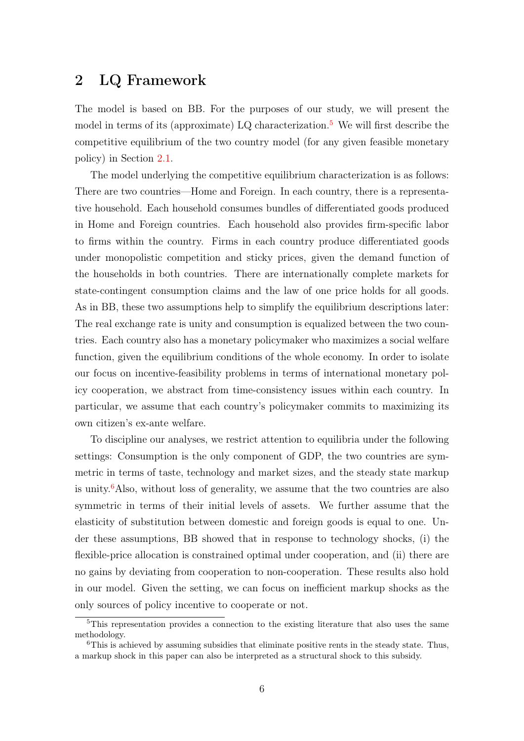# <span id="page-5-0"></span>2 LQ Framework

The model is based on BB. For the purposes of our study, we will present the model in terms of its (approximate) LQ characterization.<sup>[5](#page-5-1)</sup> We will first describe the competitive equilibrium of the two country model (for any given feasible monetary policy) in Section [2.1.](#page-6-0)

The model underlying the competitive equilibrium characterization is as follows: There are two countries—Home and Foreign. In each country, there is a representative household. Each household consumes bundles of differentiated goods produced in Home and Foreign countries. Each household also provides firm-specific labor to firms within the country. Firms in each country produce differentiated goods under monopolistic competition and sticky prices, given the demand function of the households in both countries. There are internationally complete markets for state-contingent consumption claims and the law of one price holds for all goods. As in BB, these two assumptions help to simplify the equilibrium descriptions later: The real exchange rate is unity and consumption is equalized between the two countries. Each country also has a monetary policymaker who maximizes a social welfare function, given the equilibrium conditions of the whole economy. In order to isolate our focus on incentive-feasibility problems in terms of international monetary policy cooperation, we abstract from time-consistency issues within each country. In particular, we assume that each country's policymaker commits to maximizing its own citizen's ex-ante welfare.

To discipline our analyses, we restrict attention to equilibria under the following settings: Consumption is the only component of GDP, the two countries are symmetric in terms of taste, technology and market sizes, and the steady state markup is unity.<sup>[6](#page-5-2)</sup>Also, without loss of generality, we assume that the two countries are also symmetric in terms of their initial levels of assets. We further assume that the elasticity of substitution between domestic and foreign goods is equal to one. Under these assumptions, BB showed that in response to technology shocks, (i) the flexible-price allocation is constrained optimal under cooperation, and (ii) there are no gains by deviating from cooperation to non-cooperation. These results also hold in our model. Given the setting, we can focus on inefficient markup shocks as the only sources of policy incentive to cooperate or not.

<span id="page-5-1"></span><sup>&</sup>lt;sup>5</sup>This representation provides a connection to the existing literature that also uses the same methodology.

<span id="page-5-2"></span><sup>&</sup>lt;sup>6</sup>This is achieved by assuming subsidies that eliminate positive rents in the steady state. Thus, a markup shock in this paper can also be interpreted as a structural shock to this subsidy.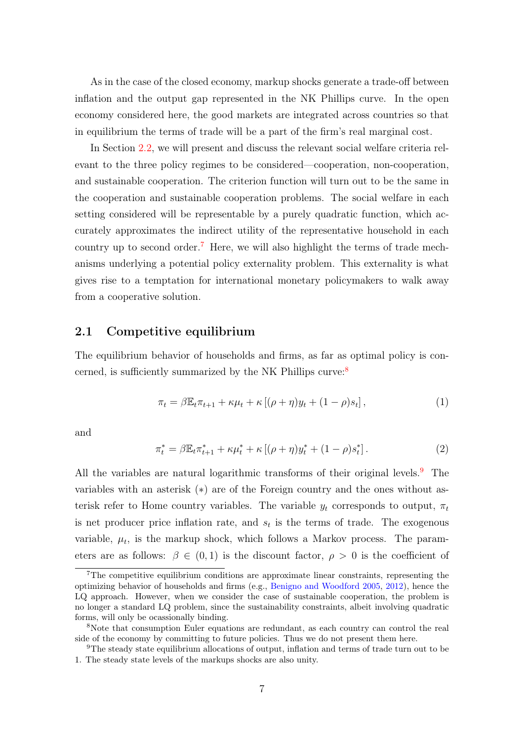As in the case of the closed economy, markup shocks generate a trade-off between inflation and the output gap represented in the NK Phillips curve. In the open economy considered here, the good markets are integrated across countries so that in equilibrium the terms of trade will be a part of the firm's real marginal cost.

In Section [2.2,](#page-8-0) we will present and discuss the relevant social welfare criteria relevant to the three policy regimes to be considered—cooperation, non-cooperation, and sustainable cooperation. The criterion function will turn out to be the same in the cooperation and sustainable cooperation problems. The social welfare in each setting considered will be representable by a purely quadratic function, which accurately approximates the indirect utility of the representative household in each country up to second order.<sup>[7](#page-6-1)</sup> Here, we will also highlight the terms of trade mechanisms underlying a potential policy externality problem. This externality is what gives rise to a temptation for international monetary policymakers to walk away from a cooperative solution.

## <span id="page-6-0"></span>2.1 Competitive equilibrium

The equilibrium behavior of households and firms, as far as optimal policy is con-cerned, is sufficiently summarized by the NK Phillips curve:<sup>[8](#page-6-2)</sup>

<span id="page-6-4"></span>
$$
\pi_t = \beta \mathbb{E}_t \pi_{t+1} + \kappa \mu_t + \kappa \left[ (\rho + \eta) y_t + (1 - \rho) s_t \right],\tag{1}
$$

and

<span id="page-6-5"></span>
$$
\pi_t^* = \beta \mathbb{E}_t \pi_{t+1}^* + \kappa \mu_t^* + \kappa \left[ (\rho + \eta) y_t^* + (1 - \rho) s_t^* \right]. \tag{2}
$$

All the variables are natural logarithmic transforms of their original levels.<sup>[9](#page-6-3)</sup> The variables with an asterisk (∗) are of the Foreign country and the ones without asterisk refer to Home country variables. The variable  $y_t$  corresponds to output,  $\pi_t$ is net producer price inflation rate, and  $s_t$  is the terms of trade. The exogenous variable,  $\mu_t$ , is the markup shock, which follows a Markov process. The parameters are as follows:  $\beta \in (0,1)$  is the discount factor,  $\rho > 0$  is the coefficient of

<span id="page-6-1"></span> ${}^{7}$ The competitive equilibrium conditions are approximate linear constraints, representing the optimizing behavior of households and firms (e.g., [Benigno and Woodford](#page-26-6) [2005,](#page-26-6) [2012\)](#page-26-7), hence the LQ approach. However, when we consider the case of sustainable cooperation, the problem is no longer a standard LQ problem, since the sustainability constraints, albeit involving quadratic forms, will only be ocassionally binding.

<span id="page-6-2"></span><sup>8</sup>Note that consumption Euler equations are redundant, as each country can control the real side of the economy by committing to future policies. Thus we do not present them here.

<span id="page-6-3"></span><sup>9</sup>The steady state equilibrium allocations of output, inflation and terms of trade turn out to be 1. The steady state levels of the markups shocks are also unity.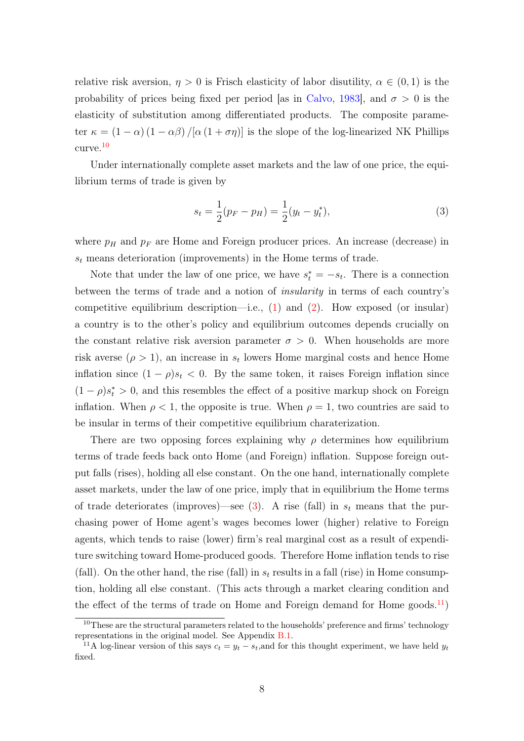relative risk aversion,  $\eta > 0$  is Frisch elasticity of labor disutility,  $\alpha \in (0,1)$  is the probability of prices being fixed per period [as in [Calvo,](#page-26-8) [1983\]](#page-26-8), and  $\sigma > 0$  is the elasticity of substitution among differentiated products. The composite parameter  $\kappa = (1 - \alpha)(1 - \alpha\beta)/[\alpha(1 + \sigma\eta)]$  is the slope of the log-linearized NK Phillips curve.[10](#page-7-0)

Under internationally complete asset markets and the law of one price, the equilibrium terms of trade is given by

<span id="page-7-1"></span>
$$
s_t = \frac{1}{2}(p_F - p_H) = \frac{1}{2}(y_t - y_t^*),
$$
\n(3)

where  $p_H$  and  $p_F$  are Home and Foreign producer prices. An increase (decrease) in  $s_t$  means deterioration (improvements) in the Home terms of trade.

Note that under the law of one price, we have  $s_t^* = -s_t$ . There is a connection between the terms of trade and a notion of insularity in terms of each country's competitive equilibrium description—i.e.,  $(1)$  and  $(2)$ . How exposed (or insular) a country is to the other's policy and equilibrium outcomes depends crucially on the constant relative risk aversion parameter  $\sigma > 0$ . When households are more risk averse  $(\rho > 1)$ , an increase in  $s_t$  lowers Home marginal costs and hence Home inflation since  $(1 - \rho)s_t < 0$ . By the same token, it raises Foreign inflation since  $(1 - \rho)s_t^* > 0$ , and this resembles the effect of a positive markup shock on Foreign inflation. When  $\rho < 1$ , the opposite is true. When  $\rho = 1$ , two countries are said to be insular in terms of their competitive equilibrium charaterization.

There are two opposing forces explaining why  $\rho$  determines how equilibrium terms of trade feeds back onto Home (and Foreign) inflation. Suppose foreign output falls (rises), holding all else constant. On the one hand, internationally complete asset markets, under the law of one price, imply that in equilibrium the Home terms of trade deteriorates (improves)—see [\(3\)](#page-7-1). A rise (fall) in  $s_t$  means that the purchasing power of Home agent's wages becomes lower (higher) relative to Foreign agents, which tends to raise (lower) firm's real marginal cost as a result of expenditure switching toward Home-produced goods. Therefore Home inflation tends to rise (fall). On the other hand, the rise (fall) in  $s_t$  results in a fall (rise) in Home consumption, holding all else constant. (This acts through a market clearing condition and the effect of the terms of trade on Home and Foreign demand for Home goods.<sup>[11](#page-7-2)</sup>)

<span id="page-7-0"></span><sup>&</sup>lt;sup>10</sup>These are the structural parameters related to the households' preference and firms' technology representations in the original model. See Appendix [B.1.](#page-35-1)

<span id="page-7-2"></span><sup>&</sup>lt;sup>11</sup>A log-linear version of this says  $c_t = y_t - s_t$ , and for this thought experiment, we have held  $y_t$ fixed.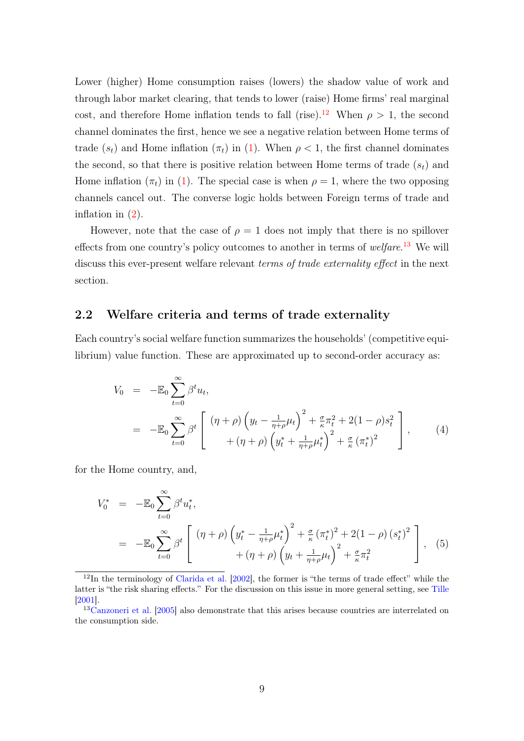Lower (higher) Home consumption raises (lowers) the shadow value of work and through labor market clearing, that tends to lower (raise) Home firms' real marginal cost, and therefore Home inflation tends to fall (rise).<sup>[12](#page-8-1)</sup> When  $\rho > 1$ , the second channel dominates the first, hence we see a negative relation between Home terms of trade  $(s_t)$  and Home inflation  $(\pi_t)$  in [\(1\)](#page-6-4). When  $\rho < 1$ , the first channel dominates the second, so that there is positive relation between Home terms of trade  $(s_t)$  and Home inflation  $(\pi_t)$  in [\(1\)](#page-6-4). The special case is when  $\rho = 1$ , where the two opposing channels cancel out. The converse logic holds between Foreign terms of trade and inflation in [\(2\)](#page-6-5).

However, note that the case of  $\rho = 1$  does not imply that there is no spillover effects from one country's policy outcomes to another in terms of *welfare*.<sup>[13](#page-8-2)</sup> We will discuss this ever-present welfare relevant *terms of trade externality effect* in the next section.

## <span id="page-8-0"></span>2.2 Welfare criteria and terms of trade externality

Each country's social welfare function summarizes the households' (competitive equilibrium) value function. These are approximated up to second-order accuracy as:

<span id="page-8-3"></span>
$$
V_0 = -\mathbb{E}_0 \sum_{t=0}^{\infty} \beta^t u_t,
$$
  
= 
$$
-\mathbb{E}_0 \sum_{t=0}^{\infty} \beta^t \left[ \frac{(\eta + \rho) \left( y_t - \frac{1}{\eta + \rho} \mu_t \right)^2 + \frac{\sigma}{\kappa} \pi_t^2 + 2(1 - \rho)s_t^2}{+ (\eta + \rho) \left( y_t^* + \frac{1}{\eta + \rho} \mu_t^* \right)^2 + \frac{\sigma}{\kappa} \left( \pi_t^* \right)^2} \right],
$$
(4)

for the Home country, and,

<span id="page-8-4"></span>
$$
V_0^* = -\mathbb{E}_0 \sum_{t=0}^{\infty} \beta^t u_t^*,
$$
  
= 
$$
-\mathbb{E}_0 \sum_{t=0}^{\infty} \beta^t \left[ \frac{(\eta + \rho) \left( y_t^* - \frac{1}{\eta + \rho} \mu_t^* \right)^2 + \frac{\sigma}{\kappa} \left( \pi_t^* \right)^2 + 2(1 - \rho) \left( s_t^* \right)^2}{+ (\eta + \rho) \left( y_t + \frac{1}{\eta + \rho} \mu_t \right)^2 + \frac{\sigma}{\kappa} \pi_t^2} \right], \quad (5)
$$

<span id="page-8-1"></span><sup>12</sup>In the terminology of [Clarida et al.](#page-26-0) [\[2002\]](#page-26-0), the former is "the terms of trade effect" while the latter is "the risk sharing effects." For the discussion on this issue in more general setting, see [Tille](#page-28-2) [\[2001\]](#page-28-2).

<span id="page-8-2"></span><sup>&</sup>lt;sup>13</sup>[Canzoneri et al.](#page-26-3) [\[2005\]](#page-26-3) also demonstrate that this arises because countries are interrelated on the consumption side.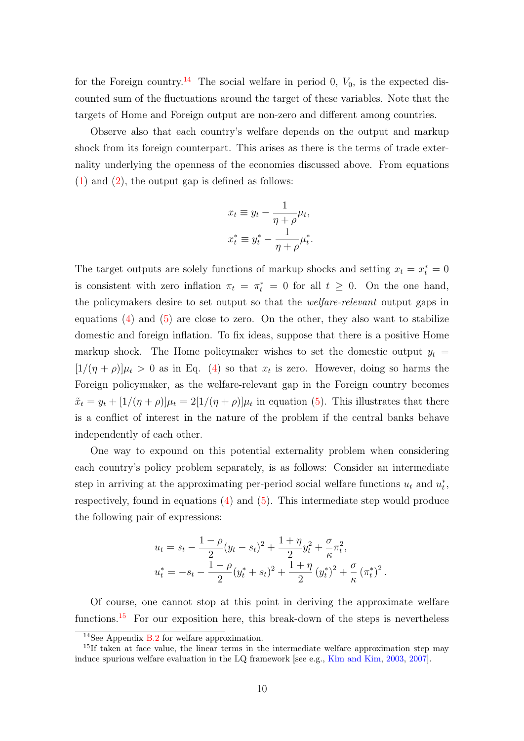for the Foreign country.<sup>[14](#page-9-0)</sup> The social welfare in period 0,  $V_0$ , is the expected discounted sum of the fluctuations around the target of these variables. Note that the targets of Home and Foreign output are non-zero and different among countries.

Observe also that each country's welfare depends on the output and markup shock from its foreign counterpart. This arises as there is the terms of trade externality underlying the openness of the economies discussed above. From equations  $(1)$  and  $(2)$ , the output gap is defined as follows:

$$
x_t \equiv y_t - \frac{1}{\eta + \rho} \mu_t,
$$
  

$$
x_t^* \equiv y_t^* - \frac{1}{\eta + \rho} \mu_t^*.
$$

The target outputs are solely functions of markup shocks and setting  $x_t = x_t^* = 0$ is consistent with zero inflation  $\pi_t = \pi_t^* = 0$  for all  $t \geq 0$ . On the one hand, the policymakers desire to set output so that the *welfare-relevant* output gaps in equations  $(4)$  and  $(5)$  are close to zero. On the other, they also want to stabilize domestic and foreign inflation. To fix ideas, suppose that there is a positive Home markup shock. The Home policymaker wishes to set the domestic output  $y_t =$  $[1/(\eta + \rho)]\mu_t > 0$  as in Eq. [\(4\)](#page-8-3) so that  $x_t$  is zero. However, doing so harms the Foreign policymaker, as the welfare-relevant gap in the Foreign country becomes  $\tilde{x}_t = y_t + [1/(\eta + \rho)]\mu_t = 2[1/(\eta + \rho)]\mu_t$  in equation [\(5\)](#page-8-4). This illustrates that there is a conflict of interest in the nature of the problem if the central banks behave independently of each other.

One way to expound on this potential externality problem when considering each country's policy problem separately, is as follows: Consider an intermediate step in arriving at the approximating per-period social welfare functions  $u_t$  and  $u_t^*$ , respectively, found in equations  $(4)$  and  $(5)$ . This intermediate step would produce the following pair of expressions:

$$
u_t = s_t - \frac{1 - \rho}{2} (y_t - s_t)^2 + \frac{1 + \eta}{2} y_t^2 + \frac{\sigma}{\kappa} \pi_t^2,
$$
  

$$
u_t^* = -s_t - \frac{1 - \rho}{2} (y_t^* + s_t)^2 + \frac{1 + \eta}{2} (y_t^*)^2 + \frac{\sigma}{\kappa} (\pi_t^*)^2.
$$

Of course, one cannot stop at this point in deriving the approximate welfare functions.<sup>[15](#page-9-1)</sup> For our exposition here, this break-down of the steps is nevertheless

<span id="page-9-1"></span><span id="page-9-0"></span><sup>&</sup>lt;sup>14</sup>See Appendix [B.2](#page-42-0) for welfare approximation.

<sup>&</sup>lt;sup>15</sup>If taken at face value, the linear terms in the intermediate welfare approximation step may induce spurious welfare evaluation in the LQ framework [see e.g., [Kim and Kim,](#page-28-3) [2003,](#page-28-3) [2007\]](#page-28-4).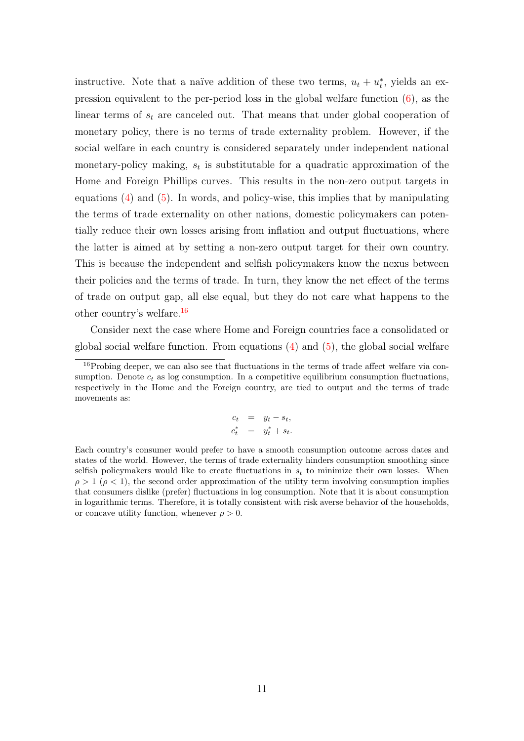instructive. Note that a naïve addition of these two terms,  $u_t + u_t^*$ , yields an expression equivalent to the per-period loss in the global welfare function [\(6\)](#page-11-1), as the linear terms of  $s_t$  are canceled out. That means that under global cooperation of monetary policy, there is no terms of trade externality problem. However, if the social welfare in each country is considered separately under independent national monetary-policy making,  $s_t$  is substitutable for a quadratic approximation of the Home and Foreign Phillips curves. This results in the non-zero output targets in equations  $(4)$  and  $(5)$ . In words, and policy-wise, this implies that by manipulating the terms of trade externality on other nations, domestic policymakers can potentially reduce their own losses arising from inflation and output fluctuations, where the latter is aimed at by setting a non-zero output target for their own country. This is because the independent and selfish policymakers know the nexus between their policies and the terms of trade. In turn, they know the net effect of the terms of trade on output gap, all else equal, but they do not care what happens to the other country's welfare.[16](#page-10-0)

Consider next the case where Home and Foreign countries face a consolidated or global social welfare function. From equations  $(4)$  and  $(5)$ , the global social welfare

$$
c_t = y_t - s_t,
$$
  

$$
c_t^* = y_t^* + s_t.
$$

Each country's consumer would prefer to have a smooth consumption outcome across dates and states of the world. However, the terms of trade externality hinders consumption smoothing since selfish policymakers would like to create fluctuations in  $s_t$  to minimize their own losses. When  $\rho > 1$  ( $\rho < 1$ ), the second order approximation of the utility term involving consumption implies that consumers dislike (prefer) fluctuations in log consumption. Note that it is about consumption in logarithmic terms. Therefore, it is totally consistent with risk averse behavior of the households, or concave utility function, whenever  $\rho > 0$ .

<span id="page-10-0"></span><sup>&</sup>lt;sup>16</sup>Probing deeper, we can also see that fluctuations in the terms of trade affect welfare via consumption. Denote  $c_t$  as log consumption. In a competitive equilibrium consumption fluctuations, respectively in the Home and the Foreign country, are tied to output and the terms of trade movements as: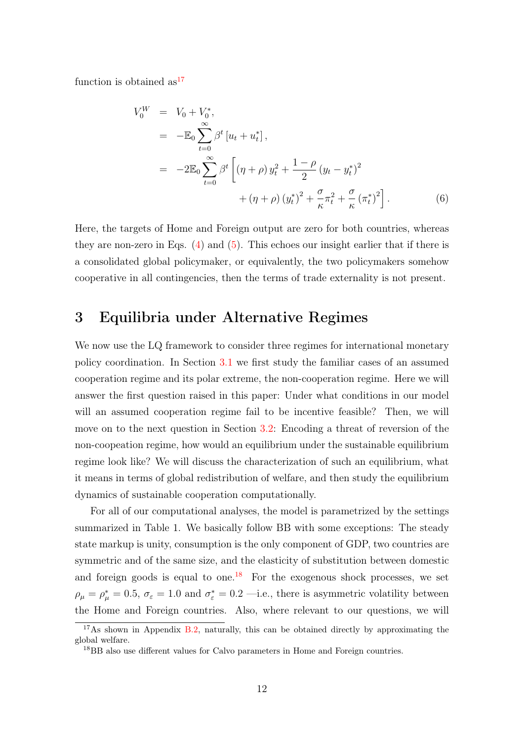function is obtained  $as^{17}$  $as^{17}$  $as^{17}$ 

<span id="page-11-1"></span>
$$
V_0^W = V_0 + V_0^*,
$$
  
=  $-\mathbb{E}_0 \sum_{t=0}^{\infty} \beta^t [u_t + u_t^*],$   
=  $-2\mathbb{E}_0 \sum_{t=0}^{\infty} \beta^t \left[ (\eta + \rho) y_t^2 + \frac{1-\rho}{2} (y_t - y_t^*)^2 + (\eta + \rho) (y_t^*)^2 + \frac{\sigma}{\kappa} \pi_t^2 + \frac{\sigma}{\kappa} (\pi_t^*)^2 \right].$  (6)

Here, the targets of Home and Foreign output are zero for both countries, whereas they are non-zero in Eqs.  $(4)$  and  $(5)$ . This echoes our insight earlier that if there is a consolidated global policymaker, or equivalently, the two policymakers somehow cooperative in all contingencies, then the terms of trade externality is not present.

# <span id="page-11-0"></span>3 Equilibria under Alternative Regimes

We now use the LQ framework to consider three regimes for international monetary policy coordination. In Section [3.1](#page-12-0) we first study the familiar cases of an assumed cooperation regime and its polar extreme, the non-cooperation regime. Here we will answer the first question raised in this paper: Under what conditions in our model will an assumed cooperation regime fail to be incentive feasible? Then, we will move on to the next question in Section [3.2:](#page-17-0) Encoding a threat of reversion of the non-coopeation regime, how would an equilibrium under the sustainable equilibrium regime look like? We will discuss the characterization of such an equilibrium, what it means in terms of global redistribution of welfare, and then study the equilibrium dynamics of sustainable cooperation computationally.

For all of our computational analyses, the model is parametrized by the settings summarized in Table 1. We basically follow BB with some exceptions: The steady state markup is unity, consumption is the only component of GDP, two countries are symmetric and of the same size, and the elasticity of substitution between domestic and foreign goods is equal to one.<sup>[18](#page-11-3)</sup> For the exogenous shock processes, we set  $\rho_{\mu} = \rho_{\mu}^* = 0.5, \sigma_{\varepsilon} = 1.0 \text{ and } \sigma_{\varepsilon}^* = 0.2 \text{ --i.e., there is asymmetric volatility between }$ the Home and Foreign countries. Also, where relevant to our questions, we will

<span id="page-11-2"></span> $17$ As shown in Appendix [B.2,](#page-42-0) naturally, this can be obtained directly by approximating the global welfare.

<span id="page-11-3"></span><sup>18</sup>BB also use different values for Calvo parameters in Home and Foreign countries.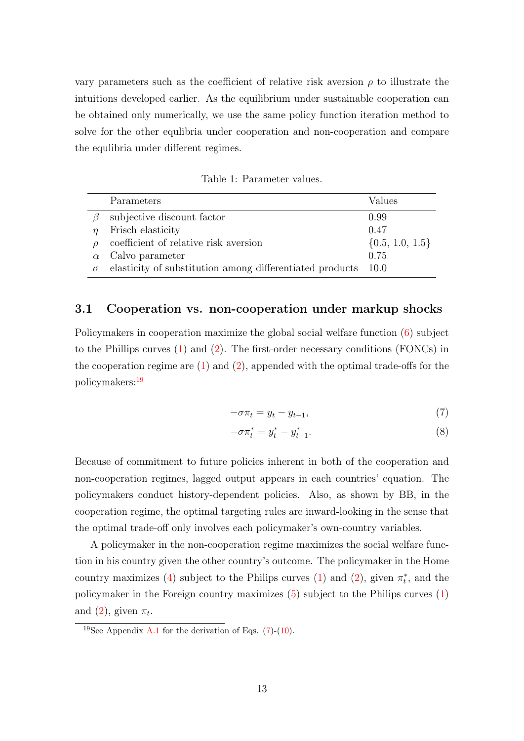vary parameters such as the coefficient of relative risk aversion  $\rho$  to illustrate the intuitions developed earlier. As the equilibrium under sustainable cooperation can be obtained only numerically, we use the same policy function iteration method to solve for the other equlibria under cooperation and non-cooperation and compare the equlibria under different regimes.

Table 1: Parameter values.

|          | Parameters                                               | Values              |
|----------|----------------------------------------------------------|---------------------|
|          | subjective discount factor                               | 0.99                |
|          | Frisch elasticity                                        | 0.47                |
|          | coefficient of relative risk aversion                    | $\{0.5, 1.0, 1.5\}$ |
|          | Calvo parameter                                          | 0.75                |
| $\sigma$ | elasticity of substitution among differentiated products | - 10.0              |

#### <span id="page-12-0"></span>3.1 Cooperation vs. non-cooperation under markup shocks

Policymakers in cooperation maximize the global social welfare function [\(6\)](#page-11-1) subject to the Phillips curves [\(1\)](#page-6-4) and [\(2\)](#page-6-5). The first-order necessary conditions (FONCs) in the cooperation regime are  $(1)$  and  $(2)$ , appended with the optimal trade-offs for the policymakers:[19](#page-12-1)

<span id="page-12-2"></span>
$$
-\sigma \pi_t = y_t - y_{t-1},\tag{7}
$$

$$
-\sigma \pi_t^* = y_t^* - y_{t-1}^*.\tag{8}
$$

Because of commitment to future policies inherent in both of the cooperation and non-cooperation regimes, lagged output appears in each countries' equation. The policymakers conduct history-dependent policies. Also, as shown by BB, in the cooperation regime, the optimal targeting rules are inward-looking in the sense that the optimal trade-off only involves each policymaker's own-country variables.

A policymaker in the non-cooperation regime maximizes the social welfare function in his country given the other country's outcome. The policymaker in the Home country maximizes [\(4\)](#page-8-3) subject to the Philips curves [\(1\)](#page-6-4) and [\(2\)](#page-6-5), given  $\pi_t^*$ , and the policymaker in the Foreign country maximizes [\(5\)](#page-8-4) subject to the Philips curves [\(1\)](#page-6-4) and [\(2\)](#page-6-5), given  $\pi_t$ .

<span id="page-12-1"></span><sup>&</sup>lt;sup>19</sup>See Appendix [A.1](#page-29-1) for the derivation of Eqs.  $(7)-(10)$  $(7)-(10)$  $(7)-(10)$ .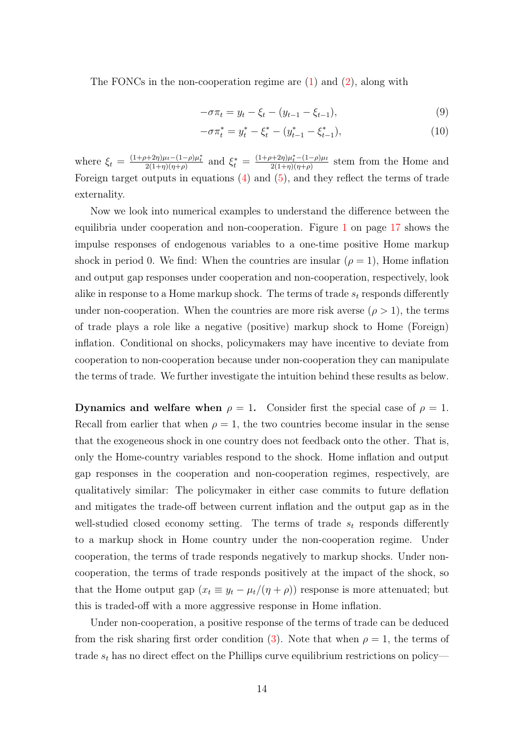The FONCs in the non-cooperation regime are [\(1\)](#page-6-4) and [\(2\)](#page-6-5), along with

<span id="page-13-0"></span>
$$
-\sigma \pi_t = y_t - \xi_t - (y_{t-1} - \xi_{t-1}),
$$
\n(9)

$$
-\sigma \pi_t^* = y_t^* - \xi_t^* - (y_{t-1}^* - \xi_{t-1}^*), \tag{10}
$$

where  $\xi_t = \frac{(1+\rho+2\eta)\mu_t-(1-\rho)\mu_t^*}{2(1+\eta)(\eta+\rho)}$  and  $\xi_t^* = \frac{(1+\rho+2\eta)\mu_t^*(-1-\rho)\mu_t}{2(1+\eta)(\eta+\rho)}$  $\frac{2(1+\eta)\mu_i - (1-\rho)\mu_t}{2(1+\eta)(\eta+\rho)}$  stem from the Home and Foreign target outputs in equations [\(4\)](#page-8-3) and [\(5\)](#page-8-4), and they reflect the terms of trade externality.

Now we look into numerical examples to understand the difference between the equilibria under cooperation and non-cooperation. Figure [1](#page-16-0) on page [17](#page-16-0) shows the impulse responses of endogenous variables to a one-time positive Home markup shock in period 0. We find: When the countries are insular  $(\rho = 1)$ , Home inflation and output gap responses under cooperation and non-cooperation, respectively, look alike in response to a Home markup shock. The terms of trade  $s_t$  responds differently under non-cooperation. When the countries are more risk averse  $(\rho > 1)$ , the terms of trade plays a role like a negative (positive) markup shock to Home (Foreign) inflation. Conditional on shocks, policymakers may have incentive to deviate from cooperation to non-cooperation because under non-cooperation they can manipulate the terms of trade. We further investigate the intuition behind these results as below.

Dynamics and welfare when  $\rho = 1$ . Consider first the special case of  $\rho = 1$ . Recall from earlier that when  $\rho = 1$ , the two countries become insular in the sense that the exogeneous shock in one country does not feedback onto the other. That is, only the Home-country variables respond to the shock. Home inflation and output gap responses in the cooperation and non-cooperation regimes, respectively, are qualitatively similar: The policymaker in either case commits to future deflation and mitigates the trade-off between current inflation and the output gap as in the well-studied closed economy setting. The terms of trade  $s_t$  responds differently to a markup shock in Home country under the non-cooperation regime. Under cooperation, the terms of trade responds negatively to markup shocks. Under noncooperation, the terms of trade responds positively at the impact of the shock, so that the Home output gap  $(x_t \equiv y_t - \mu_t/(\eta + \rho))$  response is more attenuated; but this is traded-off with a more aggressive response in Home inflation.

Under non-cooperation, a positive response of the terms of trade can be deduced from the risk sharing first order condition [\(3\)](#page-7-1). Note that when  $\rho = 1$ , the terms of trade  $s_t$  has no direct effect on the Phillips curve equilibrium restrictions on policy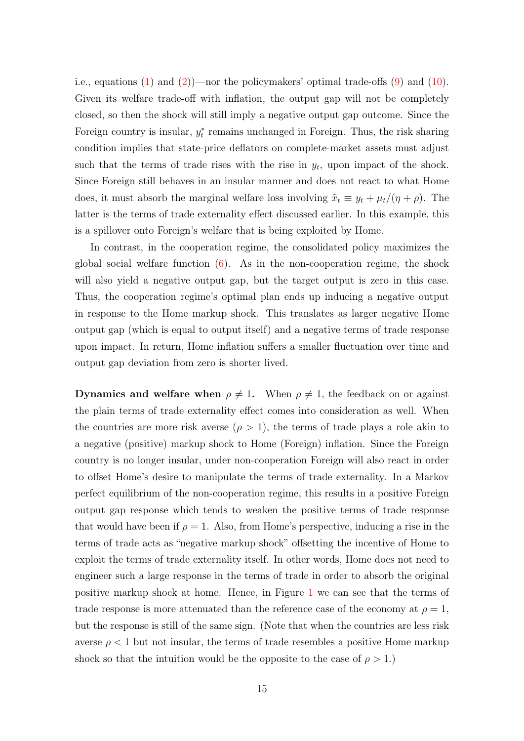i.e., equations [\(1\)](#page-6-4) and [\(2\)](#page-6-5))—nor the policymakers' optimal trade-offs  $(9)$  and  $(10)$ . Given its welfare trade-off with inflation, the output gap will not be completely closed, so then the shock will still imply a negative output gap outcome. Since the Foreign country is insular,  $y_t^*$  remains unchanged in Foreign. Thus, the risk sharing condition implies that state-price deflators on complete-market assets must adjust such that the terms of trade rises with the rise in  $y_t$ , upon impact of the shock. Since Foreign still behaves in an insular manner and does not react to what Home does, it must absorb the marginal welfare loss involving  $\tilde{x}_t \equiv y_t + \mu_t/(\eta + \rho)$ . The latter is the terms of trade externality effect discussed earlier. In this example, this is a spillover onto Foreign's welfare that is being exploited by Home.

In contrast, in the cooperation regime, the consolidated policy maximizes the global social welfare function  $(6)$ . As in the non-cooperation regime, the shock will also yield a negative output gap, but the target output is zero in this case. Thus, the cooperation regime's optimal plan ends up inducing a negative output in response to the Home markup shock. This translates as larger negative Home output gap (which is equal to output itself) and a negative terms of trade response upon impact. In return, Home inflation suffers a smaller fluctuation over time and output gap deviation from zero is shorter lived.

**Dynamics and welfare when**  $\rho \neq 1$ . When  $\rho \neq 1$ , the feedback on or against the plain terms of trade externality effect comes into consideration as well. When the countries are more risk averse  $(\rho > 1)$ , the terms of trade plays a role akin to a negative (positive) markup shock to Home (Foreign) inflation. Since the Foreign country is no longer insular, under non-cooperation Foreign will also react in order to offset Home's desire to manipulate the terms of trade externality. In a Markov perfect equilibrium of the non-cooperation regime, this results in a positive Foreign output gap response which tends to weaken the positive terms of trade response that would have been if  $\rho = 1$ . Also, from Home's perspective, inducing a rise in the terms of trade acts as "negative markup shock" offsetting the incentive of Home to exploit the terms of trade externality itself. In other words, Home does not need to engineer such a large response in the terms of trade in order to absorb the original positive markup shock at home. Hence, in Figure [1](#page-16-0) we can see that the terms of trade response is more attenuated than the reference case of the economy at  $\rho = 1$ , but the response is still of the same sign. (Note that when the countries are less risk averse  $\rho < 1$  but not insular, the terms of trade resembles a positive Home markup shock so that the intuition would be the opposite to the case of  $\rho > 1$ .)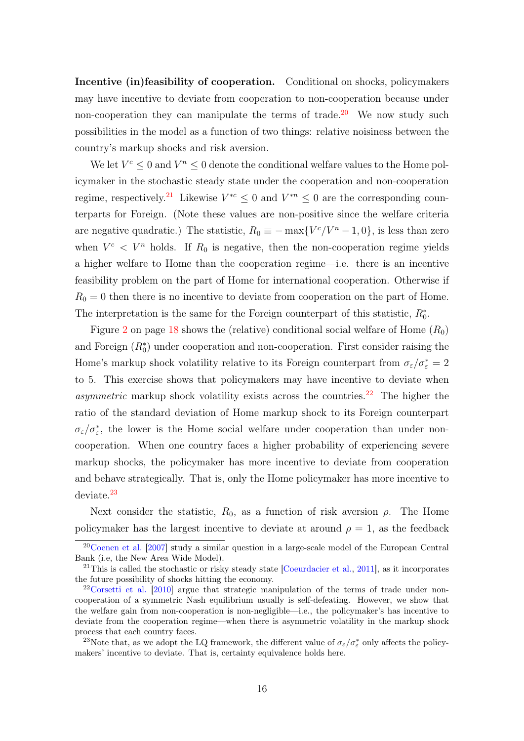Incentive (in)feasibility of cooperation. Conditional on shocks, policymakers may have incentive to deviate from cooperation to non-cooperation because under non-cooperation they can manipulate the terms of trade.<sup>[20](#page-15-0)</sup> We now study such possibilities in the model as a function of two things: relative noisiness between the country's markup shocks and risk aversion.

We let  $V^c \leq 0$  and  $V^n \leq 0$  denote the conditional welfare values to the Home policymaker in the stochastic steady state under the cooperation and non-cooperation regime, respectively.<sup>[21](#page-15-1)</sup> Likewise  $V^{*c} \leq 0$  and  $V^{*n} \leq 0$  are the corresponding counterparts for Foreign. (Note these values are non-positive since the welfare criteria are negative quadratic.) The statistic,  $R_0 \equiv -\max\{V^c/V^n - 1, 0\}$ , is less than zero when  $V^c < V^n$  holds. If  $R_0$  is negative, then the non-cooperation regime yields a higher welfare to Home than the cooperation regime—i.e. there is an incentive feasibility problem on the part of Home for international cooperation. Otherwise if  $R_0 = 0$  then there is no incentive to deviate from cooperation on the part of Home. The interpretation is the same for the Foreign counterpart of this statistic,  $R_0^*$ .

Figure [2](#page-17-1) on page [18](#page-17-1) shows the (relative) conditional social welfare of Home  $(R_0)$ and Foreign  $(R_0^*)$  under cooperation and non-cooperation. First consider raising the Home's markup shock volatility relative to its Foreign counterpart from  $\sigma_{\varepsilon}/\sigma_{\varepsilon}^* = 2$ to 5. This exercise shows that policymakers may have incentive to deviate when asymmetric markup shock volatility exists across the countries.<sup>[22](#page-15-2)</sup> The higher the ratio of the standard deviation of Home markup shock to its Foreign counterpart  $\sigma_{\varepsilon}/\sigma_{\varepsilon}^*$ , the lower is the Home social welfare under cooperation than under noncooperation. When one country faces a higher probability of experiencing severe markup shocks, the policymaker has more incentive to deviate from cooperation and behave strategically. That is, only the Home policymaker has more incentive to deviate.[23](#page-15-3)

Next consider the statistic,  $R_0$ , as a function of risk aversion  $\rho$ . The Home policymaker has the largest incentive to deviate at around  $\rho = 1$ , as the feedback

<span id="page-15-0"></span><sup>&</sup>lt;sup>20</sup>[Coenen et al.](#page-27-6) [\[2007\]](#page-27-6) study a similar question in a large-scale model of the European Central Bank (i.e, the New Area Wide Model).

<span id="page-15-1"></span><sup>&</sup>lt;sup>21</sup>This is called the stochastic or risky steady state [\[Coeurdacier et al.,](#page-27-7) [2011\]](#page-27-7), as it incorporates the future possibility of shocks hitting the economy.

<span id="page-15-2"></span> $22\text{Corset}$  et al. [\[2010\]](#page-27-4) argue that strategic manipulation of the terms of trade under noncooperation of a symmetric Nash equilibrium usually is self-defeating. However, we show that the welfare gain from non-cooperation is non-negligible—i.e., the policymaker's has incentive to deviate from the cooperation regime—when there is asymmetric volatility in the markup shock process that each country faces.

<span id="page-15-3"></span><sup>&</sup>lt;sup>23</sup>Note that, as we adopt the LQ framework, the different value of  $\sigma_{\varepsilon}/\sigma_{\varepsilon}^*$  only affects the policymakers' incentive to deviate. That is, certainty equivalence holds here.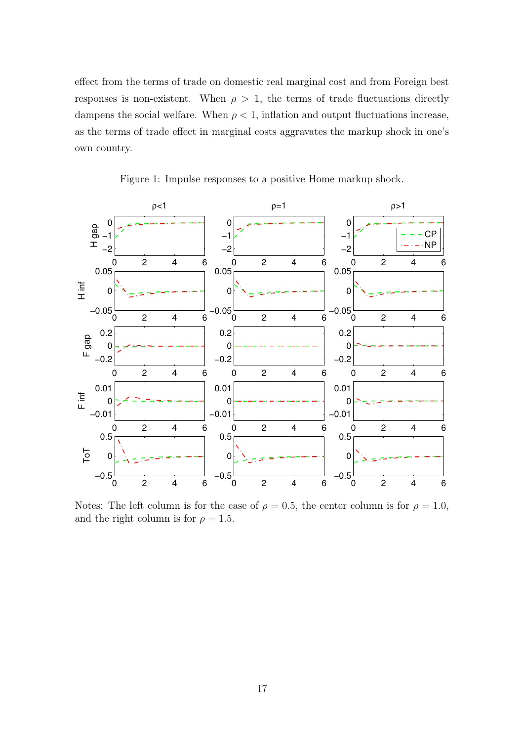effect from the terms of trade on domestic real marginal cost and from Foreign best responses is non-existent. When  $\rho > 1$ , the terms of trade fluctuations directly dampens the social welfare. When  $\rho < 1$ , inflation and output fluctuations increase, as the terms of trade effect in marginal costs aggravates the markup shock in one's own country.



<span id="page-16-0"></span>Figure 1: Impulse responses to a positive Home markup shock.

Notes: The left column is for the case of  $\rho = 0.5$ , the center column is for  $\rho = 1.0$ , and the right column is for  $\rho = 1.5$ .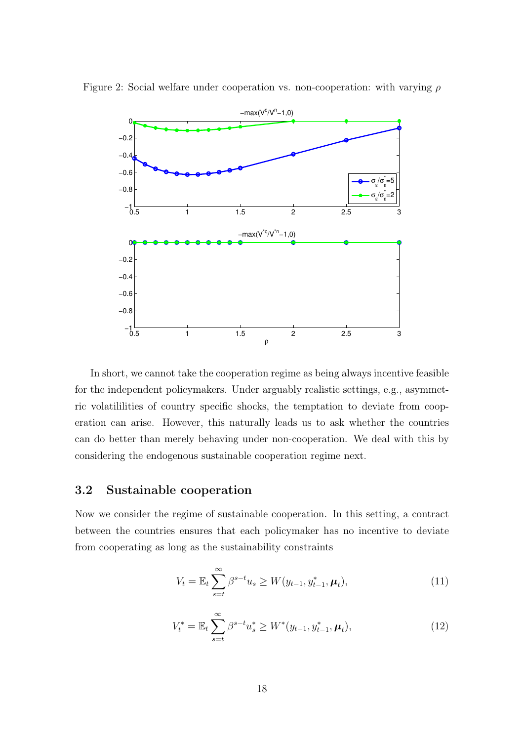<span id="page-17-1"></span>

Figure 2: Social welfare under cooperation vs. non-cooperation: with varying  $\rho$ 

In short, we cannot take the cooperation regime as being always incentive feasible for the independent policymakers. Under arguably realistic settings, e.g., asymmetric volatililities of country specific shocks, the temptation to deviate from cooperation can arise. However, this naturally leads us to ask whether the countries can do better than merely behaving under non-cooperation. We deal with this by considering the endogenous sustainable cooperation regime next.

# <span id="page-17-0"></span>3.2 Sustainable cooperation

Now we consider the regime of sustainable cooperation. In this setting, a contract between the countries ensures that each policymaker has no incentive to deviate from cooperating as long as the sustainability constraints

<span id="page-17-2"></span>
$$
V_t = \mathbb{E}_t \sum_{s=t}^{\infty} \beta^{s-t} u_s \ge W(y_{t-1}, y_{t-1}^*, \mu_t), \tag{11}
$$

<span id="page-17-3"></span>
$$
V_t^* = \mathbb{E}_t \sum_{s=t}^{\infty} \beta^{s-t} u_s^* \ge W^*(y_{t-1}, y_{t-1}^*, \mu_t), \tag{12}
$$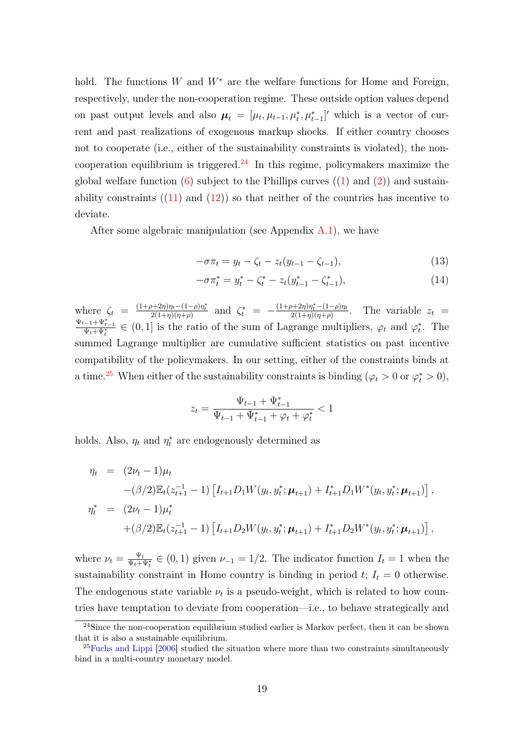hold. The functions W and  $W^*$  are the welfare functions for Home and Foreign, respectively, under the non-cooperation regime. These outside option values depend on past output levels and also  $\mu_t = [\mu_t, \mu_{t-1}, \mu_t^*, \mu_{t-1}^*]'$  which is a vector of current and past realizations of exogenous markup shocks. If either country chooses not to cooperate (i.e., either of the sustainability constraints is violated), the non-cooperation equilibrium is triggered.<sup>[24](#page-18-0)</sup> In this regime, policymakers maximize the global welfare function  $(6)$  subject to the Phillips curves  $((1)$  $((1)$  and  $(2))$  $(2))$  and sustainability constraints  $(11)$  and  $(12)$  so that neither of the countries has incentive to deviate.

After some algebraic manipulation (see Appendix  $A(1)$ , we have

<span id="page-18-2"></span>
$$
-\sigma \pi_t = y_t - \zeta_t - z_t (y_{t-1} - \zeta_{t-1}), \tag{13}
$$

$$
-\sigma \pi_t^* = y_t^* - \zeta_t^* - z_t (y_{t-1}^* - \zeta_{t-1}^*), \tag{14}
$$

where  $\zeta_t = \frac{(1+\rho+2\eta)\eta_t - (1-\rho)\eta_t^*}{2(1+\eta)(\eta+\rho)}$  and  $\zeta_t^* = -\frac{(1+\rho+2\eta)\eta_t^* - (1-\rho)\eta_t}{2(1+\eta)(\eta+\rho)}$  $\frac{2(1+\eta)\eta_t-(1-\rho)\eta_t}{2(1+\eta)(\eta+\rho)}$ . The variable  $z_t =$  $\frac{\Psi_{t-1} + \Psi_{t-1}^*}{\Psi_t + \Psi_t^*} \in (0,1]$  is the ratio of the sum of Lagrange multipliers,  $\varphi_t$  and  $\varphi_t^*$ . The summed Lagrange multiplier are cumulative sufficient statistics on past incentive compatibility of the policymakers. In our setting, either of the constraints binds at a time.<sup>[25](#page-18-1)</sup> When either of the sustainability constraints is binding ( $\varphi_t > 0$  or  $\varphi_t^* > 0$ ),

$$
z_t = \frac{\Psi_{t-1} + \Psi_{t-1}^*}{\Psi_{t-1} + \Psi_{t-1}^* + \varphi_t + \varphi_t^*} < 1
$$

holds. Also,  $\eta_t$  and  $\eta_t^*$  are endogenously determined as

$$
\eta_t = (2\nu_t - 1)\mu_t
$$
  
\n
$$
-(\beta/2)\mathbb{E}_t(z_{t+1}^{-1} - 1) \left[ I_{t+1} D_1 W(y_t, y_t^*; \boldsymbol{\mu}_{t+1}) + I_{t+1}^* D_1 W^*(y_t, y_t^*; \boldsymbol{\mu}_{t+1}) \right],
$$
  
\n
$$
\eta_t^* = (2\nu_t - 1)\mu_t^*
$$
  
\n
$$
+(\beta/2)\mathbb{E}_t(z_{t+1}^{-1} - 1) \left[ I_{t+1} D_2 W(y_t, y_t^*; \boldsymbol{\mu}_{t+1}) + I_{t+1}^* D_2 W^*(y_t, y_t^*; \boldsymbol{\mu}_{t+1}) \right],
$$

where  $\nu_t = \frac{\Psi_t}{\Psi_t + \Psi_t^*} \in (0, 1)$  given  $\nu_{-1} = 1/2$ . The indicator function  $I_t = 1$  when the sustainability constraint in Home country is binding in period  $t$ ;  $I_t = 0$  otherwise. The endogenous state variable  $\nu_t$  is a pseudo-weight, which is related to how countries have temptation to deviate from cooperation—i.e., to behave strategically and

<span id="page-18-0"></span> $24$ Since the non-cooperation equilibrium studied earlier is Markov perfect, then it can be shown that it is also a sustainable equilibrium.

<span id="page-18-1"></span> $^{25}$ [Fuchs and Lippi](#page-27-8) [\[2006\]](#page-27-8) studied the situation where more than two constraints simultaneously bind in a multi-country monetary model.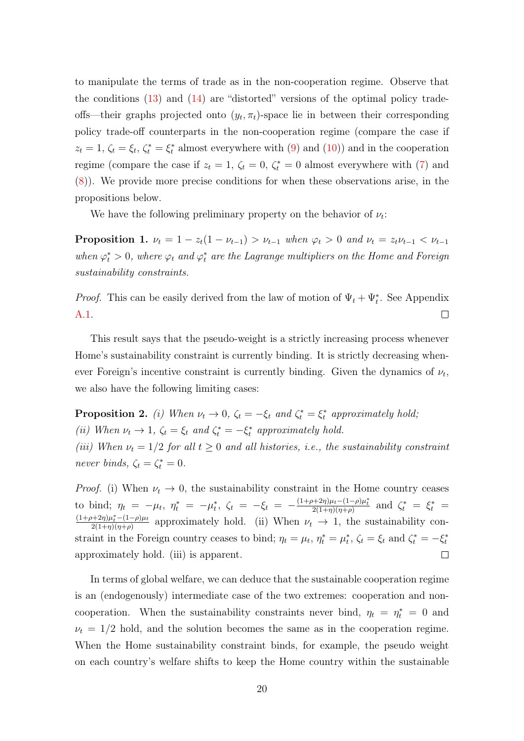to manipulate the terms of trade as in the non-cooperation regime. Observe that the conditions  $(13)$  and  $(14)$  are "distorted" versions of the optimal policy tradeoffs—their graphs projected onto  $(y_t, \pi_t)$ -space lie in between their corresponding policy trade-off counterparts in the non-cooperation regime (compare the case if  $z_t = 1, \zeta_t = \xi_t, \zeta_t^* = \xi_t^*$  almost everywhere with [\(9\)](#page-13-0) and [\(10\)](#page-13-0)) and in the cooperation regime (compare the case if  $z_t = 1$ ,  $\zeta_t = 0$ ,  $\zeta_t^* = 0$  almost everywhere with [\(7\)](#page-12-2) and [\(8\)](#page-12-2)). We provide more precise conditions for when these observations arise, in the propositions below.

We have the following preliminary property on the behavior of  $\nu_t$ :

**Proposition 1.**  $\nu_t = 1 - z_t(1 - \nu_{t-1}) > \nu_{t-1}$  when  $\varphi_t > 0$  and  $\nu_t = z_t \nu_{t-1} < \nu_{t-1}$ when  $\varphi_t^* > 0$ , where  $\varphi_t$  and  $\varphi_t^*$  are the Lagrange multipliers on the Home and Foreign sustainability constraints.

*Proof.* This can be easily derived from the law of motion of  $\Psi_t + \Psi_t^*$ . See Appendix  $\Box$ [A.1.](#page-29-1)

This result says that the pseudo-weight is a strictly increasing process whenever Home's sustainability constraint is currently binding. It is strictly decreasing whenever Foreign's incentive constraint is currently binding. Given the dynamics of  $\nu_t$ , we also have the following limiting cases:

**Proposition 2.** (i) When  $\nu_t \to 0$ ,  $\zeta_t = -\xi_t$  and  $\zeta_t^* = \xi_t^*$  approximately hold; (ii) When  $\nu_t \to 1$ ,  $\zeta_t = \xi_t$  and  $\zeta_t^* = -\xi_t^*$  approximately hold. (iii) When  $\nu_t = 1/2$  for all  $t \geq 0$  and all histories, i.e., the sustainability constraint never binds,  $\zeta_t = \zeta_t^* = 0$ .

*Proof.* (i) When  $\nu_t \to 0$ , the sustainability constraint in the Home country ceases to bind;  $\eta_t = -\mu_t$ ,  $\eta_t^* = -\mu_t^*$ ,  $\zeta_t = -\xi_t = -\frac{(1+\rho+2\eta)\mu_t-(1-\rho)\mu_t^*}{2(1+\eta)(\eta+\rho)}$  and  $\zeta_t^* = \xi_t^*$  $\frac{(1+\rho+2\eta)\mu_t^*-(1-\rho)\mu_t}{h}$  $\frac{2(1+\eta)\mu_i-(1-\rho)\mu_t}{2(1+\eta)(\eta+\rho)}$  approximately hold. (ii) When  $\nu_t \to 1$ , the sustainability constraint in the Foreign country ceases to bind;  $\eta_t = \mu_t$ ,  $\eta_t^* = \mu_t^*$ ,  $\zeta_t = \xi_t$  and  $\zeta_t^* = -\xi_t^*$ approximately hold. (iii) is apparent.  $\Box$ 

In terms of global welfare, we can deduce that the sustainable cooperation regime is an (endogenously) intermediate case of the two extremes: cooperation and noncooperation. When the sustainability constraints never bind,  $\eta_t = \eta_t^* = 0$  and  $\nu_t = 1/2$  hold, and the solution becomes the same as in the cooperation regime. When the Home sustainability constraint binds, for example, the pseudo weight on each country's welfare shifts to keep the Home country within the sustainable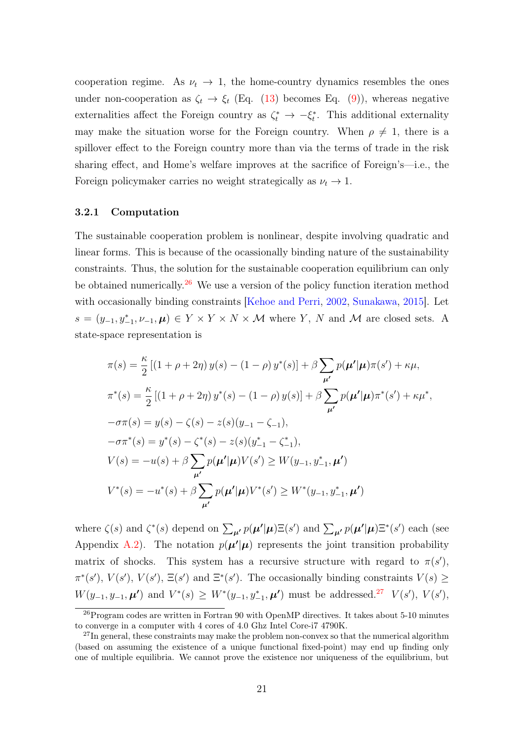cooperation regime. As  $\nu_t \to 1$ , the home-country dynamics resembles the ones under non-cooperation as  $\zeta_t \to \xi_t$  (Eq. [\(13\)](#page-18-2) becomes Eq. [\(9\)](#page-13-0)), whereas negative externalities affect the Foreign country as  $\zeta_t^* \to -\xi_t^*$ . This additional externality may make the situation worse for the Foreign country. When  $\rho \neq 1$ , there is a spillover effect to the Foreign country more than via the terms of trade in the risk sharing effect, and Home's welfare improves at the sacrifice of Foreign's—i.e., the Foreign policymaker carries no weight strategically as  $\nu_t \to 1$ .

#### 3.2.1 Computation

The sustainable cooperation problem is nonlinear, despite involving quadratic and linear forms. This is because of the ocassionally binding nature of the sustainability constraints. Thus, the solution for the sustainable cooperation equilibrium can only be obtained numerically.<sup>[26](#page-20-0)</sup> We use a version of the policy function iteration method with occasionally binding constraints [\[Kehoe and Perri,](#page-28-5) [2002,](#page-28-5) [Sunakawa,](#page-28-6) [2015\]](#page-28-6). Let  $s = (y_{-1}, y_{-1}, \nu_{-1}, \mu) \in Y \times Y \times N \times M$  where Y, N and M are closed sets. A state-space representation is

$$
\pi(s) = \frac{\kappa}{2} [(1 + \rho + 2\eta) y(s) - (1 - \rho) y^*(s)] + \beta \sum_{\mu'} p(\mu'|\mu)\pi(s') + \kappa \mu,
$$
  
\n
$$
\pi^*(s) = \frac{\kappa}{2} [(1 + \rho + 2\eta) y^*(s) - (1 - \rho) y(s)] + \beta \sum_{\mu'} p(\mu'|\mu)\pi^*(s') + \kappa \mu^*,
$$
  
\n
$$
-\sigma\pi(s) = y(s) - \zeta(s) - z(s)(y_{-1} - \zeta_{-1}),
$$
  
\n
$$
-\sigma\pi^*(s) = y^*(s) - \zeta^*(s) - z(s)(y_{-1}^* - \zeta_{-1}^*),
$$
  
\n
$$
V(s) = -u(s) + \beta \sum_{\mu'} p(\mu'|\mu)V(s') \ge W(y_{-1}, y_{-1}^*, \mu')
$$
  
\n
$$
V^*(s) = -u^*(s) + \beta \sum_{\mu'} p(\mu'|\mu)V^*(s') \ge W^*(y_{-1}, y_{-1}^*, \mu')
$$

where  $\zeta(s)$  and  $\zeta^*(s)$  depend on  $\sum_{\mu'} p(\mu'|\mu) \Xi(s')$  and  $\sum_{\mu'} p(\mu'|\mu) \Xi^*(s')$  each (see Appendix [A.2\)](#page-34-0). The notation  $p(\mu'|\mu)$  represents the joint transition probability matrix of shocks. This system has a recursive structure with regard to  $\pi(s')$ ,  $\pi^*(s')$ ,  $V(s')$ ,  $\Xi(s')$  and  $\Xi^*(s')$ . The occasionally binding constraints  $V(s) \geq$  $W(y_{-1}, y_{-1}, \mu')$  and  $V^*(s) \geq W^*(y_{-1}, y_{-1}^*, \mu')$  must be addressed.<sup>[27](#page-20-1)</sup>  $V(s')$ ,  $V(s')$ ,

<span id="page-20-0"></span><sup>26</sup>Program codes are written in Fortran 90 with OpenMP directives. It takes about 5-10 minutes to converge in a computer with 4 cores of 4.0 Ghz Intel Core-i7 4790K.

<span id="page-20-1"></span> $^{27}$ In general, these constraints may make the problem non-convex so that the numerical algorithm (based on assuming the existence of a unique functional fixed-point) may end up finding only one of multiple equilibria. We cannot prove the existence nor uniqueness of the equilibrium, but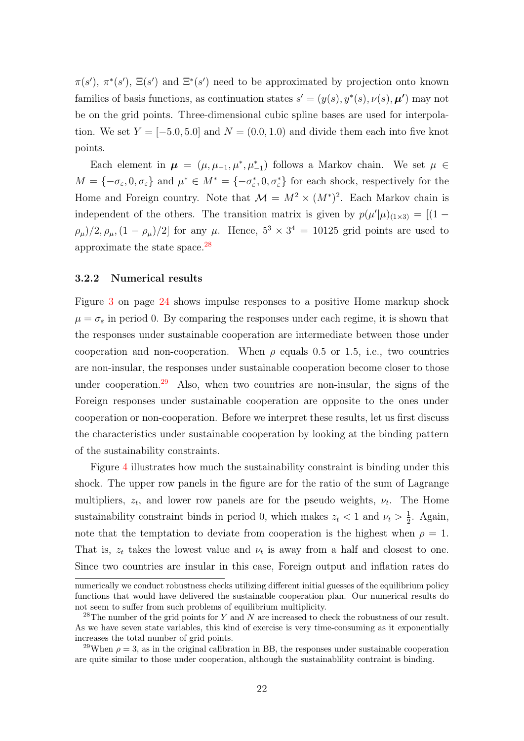$\pi(s')$ ,  $\pi^*(s')$ ,  $\Xi(s')$  and  $\Xi^*(s')$  need to be approximated by projection onto known families of basis functions, as continuation states  $s' = (y(s), y^*(s), \nu(s), \mu')$  may not be on the grid points. Three-dimensional cubic spline bases are used for interpolation. We set  $Y = [-5.0, 5.0]$  and  $N = (0.0, 1.0)$  and divide them each into five knot points.

Each element in  $\mu = (\mu, \mu_{-1}, \mu^*, \mu^*_{-1})$  follows a Markov chain. We set  $\mu \in$  $M = \{-\sigma_{\varepsilon}, 0, \sigma_{\varepsilon}\}\$ and  $\mu^* \in M^* = \{-\sigma_{\varepsilon}^*, 0, \sigma_{\varepsilon}^*\}\$ for each shock, respectively for the Home and Foreign country. Note that  $\mathcal{M} = M^2 \times (M^*)^2$ . Each Markov chain is independent of the others. The transition matrix is given by  $p(\mu'|\mu)_{(1\times3)} = [(1-\lambda)q(\mu'|\mu)]_{(1\times3)}$  $(\rho_{\mu})/2, \rho_{\mu}, (1 - \rho_{\mu})/2]$  for any  $\mu$ . Hence,  $5^3 \times 3^4 = 10125$  grid points are used to approximate the state space.[28](#page-21-0)

#### 3.2.2 Numerical results

Figure [3](#page-23-0) on page [24](#page-23-0) shows impulse responses to a positive Home markup shock  $\mu = \sigma_{\varepsilon}$  in period 0. By comparing the responses under each regime, it is shown that the responses under sustainable cooperation are intermediate between those under cooperation and non-cooperation. When  $\rho$  equals 0.5 or 1.5, i.e., two countries are non-insular, the responses under sustainable cooperation become closer to those under cooperation.<sup>[29](#page-21-1)</sup> Also, when two countries are non-insular, the signs of the Foreign responses under sustainable cooperation are opposite to the ones under cooperation or non-cooperation. Before we interpret these results, let us first discuss the characteristics under sustainable cooperation by looking at the binding pattern of the sustainability constraints.

Figure [4](#page-24-0) illustrates how much the sustainability constraint is binding under this shock. The upper row panels in the figure are for the ratio of the sum of Lagrange multipliers,  $z_t$ , and lower row panels are for the pseudo weights,  $\nu_t$ . The Home sustainability constraint binds in period 0, which makes  $z_t < 1$  and  $\nu_t > \frac{1}{2}$  $\frac{1}{2}$ . Again, note that the temptation to deviate from cooperation is the highest when  $\rho = 1$ . That is,  $z_t$  takes the lowest value and  $\nu_t$  is away from a half and closest to one. Since two countries are insular in this case, Foreign output and inflation rates do

numerically we conduct robustness checks utilizing different initial guesses of the equilibrium policy functions that would have delivered the sustainable cooperation plan. Our numerical results do not seem to suffer from such problems of equilibrium multiplicity.

<span id="page-21-0"></span><sup>&</sup>lt;sup>28</sup>The number of the grid points for Y and N are increased to check the robustness of our result. As we have seven state variables, this kind of exercise is very time-consuming as it exponentially increases the total number of grid points.

<span id="page-21-1"></span><sup>&</sup>lt;sup>29</sup>When  $\rho = 3$ , as in the original calibration in BB, the responses under sustainable cooperation are quite similar to those under cooperation, although the sustainablility contraint is binding.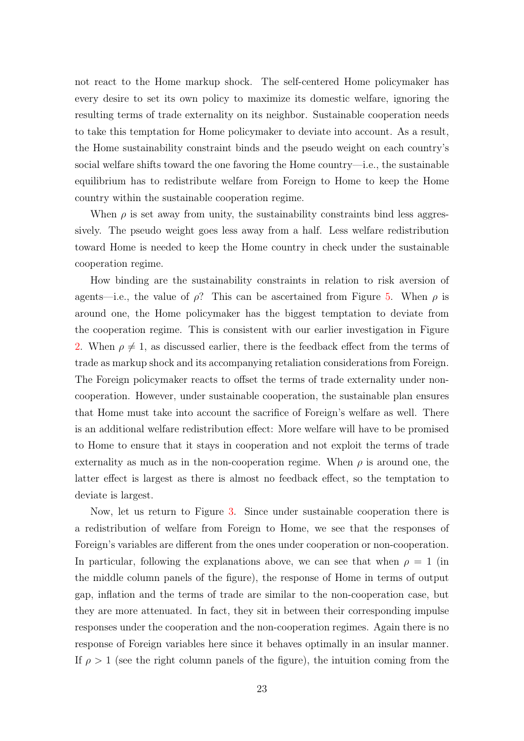not react to the Home markup shock. The self-centered Home policymaker has every desire to set its own policy to maximize its domestic welfare, ignoring the resulting terms of trade externality on its neighbor. Sustainable cooperation needs to take this temptation for Home policymaker to deviate into account. As a result, the Home sustainability constraint binds and the pseudo weight on each country's social welfare shifts toward the one favoring the Home country—i.e., the sustainable equilibrium has to redistribute welfare from Foreign to Home to keep the Home country within the sustainable cooperation regime.

When  $\rho$  is set away from unity, the sustainability constraints bind less aggressively. The pseudo weight goes less away from a half. Less welfare redistribution toward Home is needed to keep the Home country in check under the sustainable cooperation regime.

How binding are the sustainability constraints in relation to risk aversion of agents—i.e., the value of  $\rho$ ? This can be ascertained from Figure [5.](#page-24-1) When  $\rho$  is around one, the Home policymaker has the biggest temptation to deviate from the cooperation regime. This is consistent with our earlier investigation in Figure [2.](#page-17-1) When  $\rho \neq 1$ , as discussed earlier, there is the feedback effect from the terms of trade as markup shock and its accompanying retaliation considerations from Foreign. The Foreign policymaker reacts to offset the terms of trade externality under noncooperation. However, under sustainable cooperation, the sustainable plan ensures that Home must take into account the sacrifice of Foreign's welfare as well. There is an additional welfare redistribution effect: More welfare will have to be promised to Home to ensure that it stays in cooperation and not exploit the terms of trade externality as much as in the non-cooperation regime. When  $\rho$  is around one, the latter effect is largest as there is almost no feedback effect, so the temptation to deviate is largest.

Now, let us return to Figure [3.](#page-23-0) Since under sustainable cooperation there is a redistribution of welfare from Foreign to Home, we see that the responses of Foreign's variables are different from the ones under cooperation or non-cooperation. In particular, following the explanations above, we can see that when  $\rho = 1$  (in the middle column panels of the figure), the response of Home in terms of output gap, inflation and the terms of trade are similar to the non-cooperation case, but they are more attenuated. In fact, they sit in between their corresponding impulse responses under the cooperation and the non-cooperation regimes. Again there is no response of Foreign variables here since it behaves optimally in an insular manner. If  $\rho > 1$  (see the right column panels of the figure), the intuition coming from the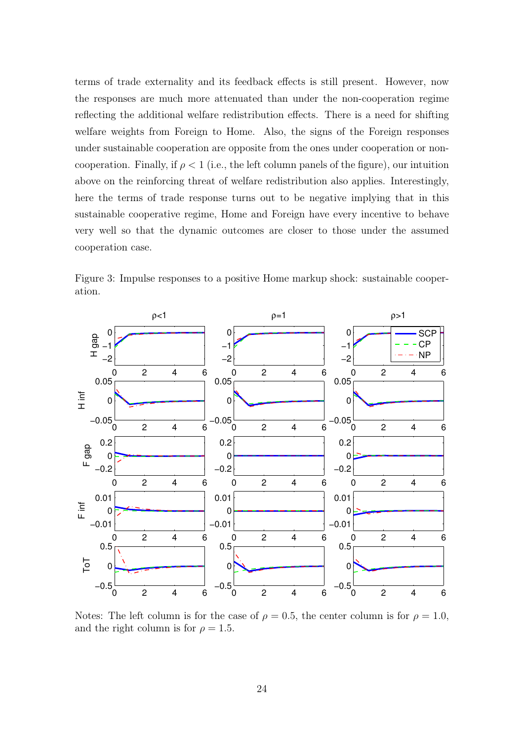terms of trade externality and its feedback effects is still present. However, now the responses are much more attenuated than under the non-cooperation regime reflecting the additional welfare redistribution effects. There is a need for shifting welfare weights from Foreign to Home. Also, the signs of the Foreign responses under sustainable cooperation are opposite from the ones under cooperation or noncooperation. Finally, if  $\rho < 1$  (i.e., the left column panels of the figure), our intuition above on the reinforcing threat of welfare redistribution also applies. Interestingly, here the terms of trade response turns out to be negative implying that in this sustainable cooperative regime, Home and Foreign have every incentive to behave very well so that the dynamic outcomes are closer to those under the assumed cooperation case.

<span id="page-23-0"></span>Figure 3: Impulse responses to a positive Home markup shock: sustainable cooperation.



Notes: The left column is for the case of  $\rho = 0.5$ , the center column is for  $\rho = 1.0$ , and the right column is for  $\rho = 1.5$ .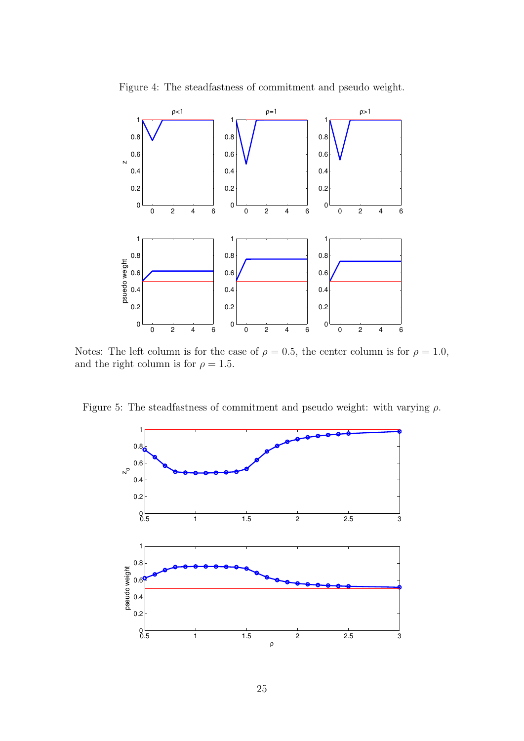

<span id="page-24-0"></span>Figure 4: The steadfastness of commitment and pseudo weight.

Notes: The left column is for the case of  $\rho = 0.5$ , the center column is for  $\rho = 1.0$ , and the right column is for  $\rho = 1.5$ .

Figure 5: The steadfastness of commitment and pseudo weight: with varying  $\rho$ .

<span id="page-24-1"></span>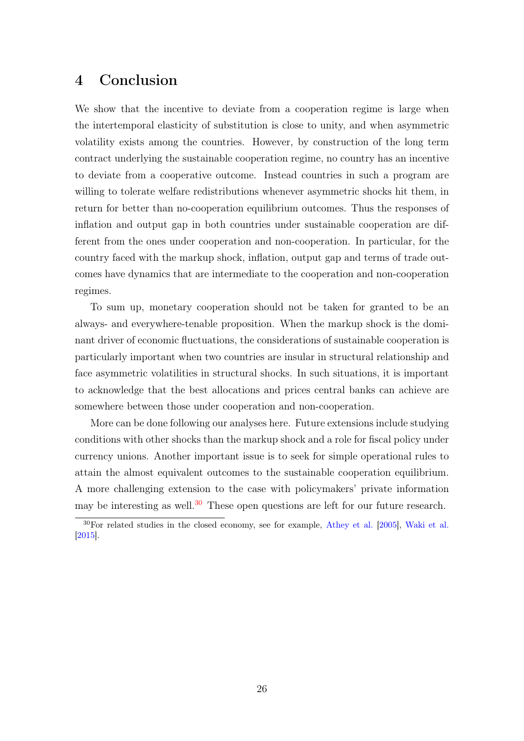# <span id="page-25-0"></span>4 Conclusion

We show that the incentive to deviate from a cooperation regime is large when the intertemporal elasticity of substitution is close to unity, and when asymmetric volatility exists among the countries. However, by construction of the long term contract underlying the sustainable cooperation regime, no country has an incentive to deviate from a cooperative outcome. Instead countries in such a program are willing to tolerate welfare redistributions whenever asymmetric shocks hit them, in return for better than no-cooperation equilibrium outcomes. Thus the responses of inflation and output gap in both countries under sustainable cooperation are different from the ones under cooperation and non-cooperation. In particular, for the country faced with the markup shock, inflation, output gap and terms of trade outcomes have dynamics that are intermediate to the cooperation and non-cooperation regimes.

To sum up, monetary cooperation should not be taken for granted to be an always- and everywhere-tenable proposition. When the markup shock is the dominant driver of economic fluctuations, the considerations of sustainable cooperation is particularly important when two countries are insular in structural relationship and face asymmetric volatilities in structural shocks. In such situations, it is important to acknowledge that the best allocations and prices central banks can achieve are somewhere between those under cooperation and non-cooperation.

More can be done following our analyses here. Future extensions include studying conditions with other shocks than the markup shock and a role for fiscal policy under currency unions. Another important issue is to seek for simple operational rules to attain the almost equivalent outcomes to the sustainable cooperation equilibrium. A more challenging extension to the case with policymakers' private information may be interesting as well.<sup>[30](#page-25-1)</sup> These open questions are left for our future research.

<span id="page-25-1"></span><sup>30</sup>For related studies in the closed economy, see for example, [Athey et al.](#page-26-9) [\[2005\]](#page-26-9), [Waki et al.](#page-28-7) [\[2015\]](#page-28-7).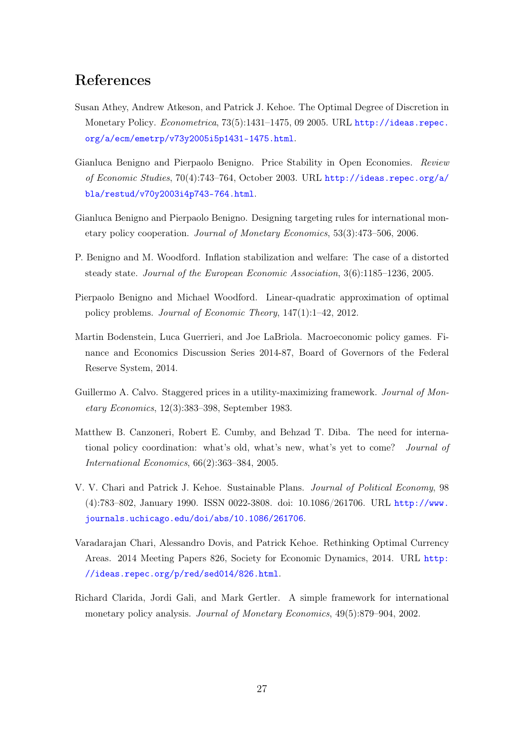# References

- <span id="page-26-9"></span>Susan Athey, Andrew Atkeson, and Patrick J. Kehoe. The Optimal Degree of Discretion in Monetary Policy. Econometrica, 73(5):1431–1475, 09 2005. URL [http://ideas.repec.](http://ideas.repec.org/a/ecm/emetrp/v73y2005i5p1431-1475.html) [org/a/ecm/emetrp/v73y2005i5p1431-1475.html](http://ideas.repec.org/a/ecm/emetrp/v73y2005i5p1431-1475.html).
- <span id="page-26-1"></span>Gianluca Benigno and Pierpaolo Benigno. Price Stability in Open Economies. Review of Economic Studies, 70(4):743–764, October 2003. URL [http://ideas.repec.org/a/](http://ideas.repec.org/a/bla/restud/v70y2003i4p743-764.html) [bla/restud/v70y2003i4p743-764.html](http://ideas.repec.org/a/bla/restud/v70y2003i4p743-764.html).
- <span id="page-26-2"></span>Gianluca Benigno and Pierpaolo Benigno. Designing targeting rules for international monetary policy cooperation. Journal of Monetary Economics, 53(3):473–506, 2006.
- <span id="page-26-6"></span>P. Benigno and M. Woodford. Inflation stabilization and welfare: The case of a distorted steady state. Journal of the European Economic Association, 3(6):1185–1236, 2005.
- <span id="page-26-7"></span>Pierpaolo Benigno and Michael Woodford. Linear-quadratic approximation of optimal policy problems. Journal of Economic Theory, 147(1):1–42, 2012.
- <span id="page-26-10"></span>Martin Bodenstein, Luca Guerrieri, and Joe LaBriola. Macroeconomic policy games. Finance and Economics Discussion Series 2014-87, Board of Governors of the Federal Reserve System, 2014.
- <span id="page-26-8"></span>Guillermo A. Calvo. Staggered prices in a utility-maximizing framework. *Journal of Mon*etary Economics, 12(3):383–398, September 1983.
- <span id="page-26-3"></span>Matthew B. Canzoneri, Robert E. Cumby, and Behzad T. Diba. The need for international policy coordination: what's old, what's new, what's yet to come? Journal of International Economics, 66(2):363–384, 2005.
- <span id="page-26-5"></span>V. V. Chari and Patrick J. Kehoe. Sustainable Plans. Journal of Political Economy, 98 (4):783–802, January 1990. ISSN 0022-3808. doi: 10.1086/261706. URL [http://www.](http://www.journals.uchicago.edu/doi/abs/10.1086/261706) [journals.uchicago.edu/doi/abs/10.1086/261706](http://www.journals.uchicago.edu/doi/abs/10.1086/261706).
- <span id="page-26-4"></span>Varadarajan Chari, Alessandro Dovis, and Patrick Kehoe. Rethinking Optimal Currency Areas. 2014 Meeting Papers 826, Society for Economic Dynamics, 2014. URL [http:](http://ideas.repec.org/p/red/sed014/826.html) [//ideas.repec.org/p/red/sed014/826.html](http://ideas.repec.org/p/red/sed014/826.html).
- <span id="page-26-0"></span>Richard Clarida, Jordi Gali, and Mark Gertler. A simple framework for international monetary policy analysis. Journal of Monetary Economics, 49(5):879–904, 2002.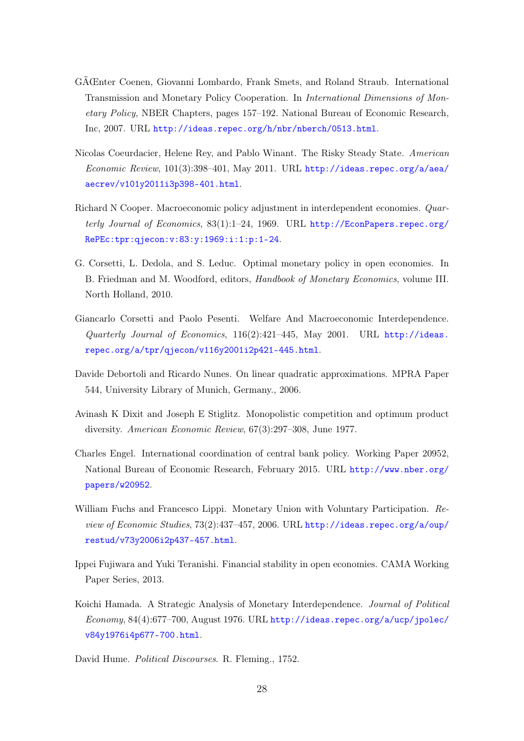- <span id="page-27-6"></span>GÃŒnter Coenen, Giovanni Lombardo, Frank Smets, and Roland Straub. International Transmission and Monetary Policy Cooperation. In International Dimensions of Monetary Policy, NBER Chapters, pages 157–192. National Bureau of Economic Research, Inc, 2007. URL <http://ideas.repec.org/h/nbr/nberch/0513.html>.
- <span id="page-27-7"></span>Nicolas Coeurdacier, Helene Rey, and Pablo Winant. The Risky Steady State. American Economic Review, 101(3):398–401, May 2011. URL [http://ideas.repec.org/a/aea/](http://ideas.repec.org/a/aea/aecrev/v101y2011i3p398-401.html) [aecrev/v101y2011i3p398-401.html](http://ideas.repec.org/a/aea/aecrev/v101y2011i3p398-401.html).
- <span id="page-27-1"></span>Richard N Cooper. Macroeconomic policy adjustment in interdependent economies. Quarterly Journal of Economics, 83(1):1-24, 1969. URL [http://EconPapers.repec.org/](http://EconPapers.repec.org/RePEc:tpr:qjecon:v:83:y:1969:i:1:p:1-24) [RePEc:tpr:qjecon:v:83:y:1969:i:1:p:1-24](http://EconPapers.repec.org/RePEc:tpr:qjecon:v:83:y:1969:i:1:p:1-24).
- <span id="page-27-4"></span>G. Corsetti, L. Dedola, and S. Leduc. Optimal monetary policy in open economies. In B. Friedman and M. Woodford, editors, Handbook of Monetary Economics, volume III. North Holland, 2010.
- <span id="page-27-3"></span>Giancarlo Corsetti and Paolo Pesenti. Welfare And Macroeconomic Interdependence. Quarterly Journal of Economics, 116(2):421–445, May 2001. URL [http://ideas.](http://ideas.repec.org/a/tpr/qjecon/v116y2001i2p421-445.html) [repec.org/a/tpr/qjecon/v116y2001i2p421-445.html](http://ideas.repec.org/a/tpr/qjecon/v116y2001i2p421-445.html).
- <span id="page-27-10"></span>Davide Debortoli and Ricardo Nunes. On linear quadratic approximations. MPRA Paper 544, University Library of Munich, Germany., 2006.
- <span id="page-27-9"></span>Avinash K Dixit and Joseph E Stiglitz. Monopolistic competition and optimum product diversity. American Economic Review, 67(3):297–308, June 1977.
- <span id="page-27-5"></span>Charles Engel. International coordination of central bank policy. Working Paper 20952, National Bureau of Economic Research, February 2015. URL [http://www.nber.org/](http://www.nber.org/papers/w20952) [papers/w20952](http://www.nber.org/papers/w20952).
- <span id="page-27-8"></span>William Fuchs and Francesco Lippi. Monetary Union with Voluntary Participation. Review of Economic Studies, 73(2):437-457, 2006. URL [http://ideas.repec.org/a/oup/](http://ideas.repec.org/a/oup/restud/v73y2006i2p437-457.html) [restud/v73y2006i2p437-457.html](http://ideas.repec.org/a/oup/restud/v73y2006i2p437-457.html).
- <span id="page-27-11"></span>Ippei Fujiwara and Yuki Teranishi. Financial stability in open economies. CAMA Working Paper Series, 2013.
- <span id="page-27-2"></span>Koichi Hamada. A Strategic Analysis of Monetary Interdependence. Journal of Political Economy, 84(4):677–700, August 1976. URL [http://ideas.repec.org/a/ucp/jpolec/](http://ideas.repec.org/a/ucp/jpolec/v84y1976i4p677-700.html) [v84y1976i4p677-700.html](http://ideas.repec.org/a/ucp/jpolec/v84y1976i4p677-700.html).

<span id="page-27-0"></span>David Hume. Political Discourses. R. Fleming., 1752.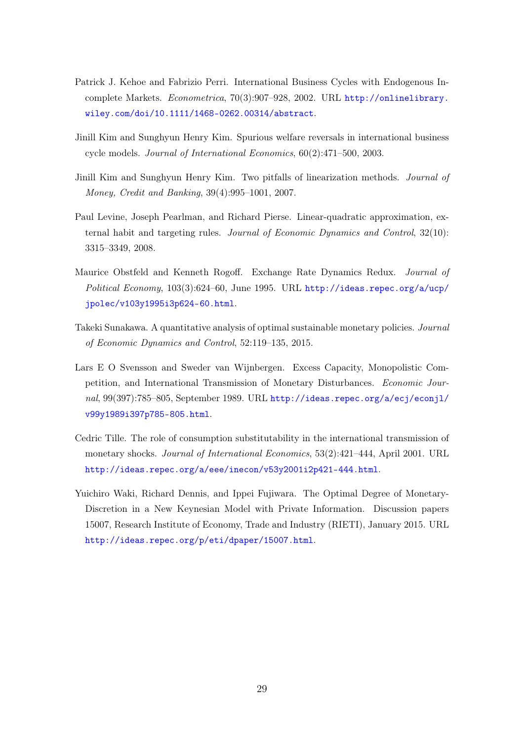- <span id="page-28-5"></span>Patrick J. Kehoe and Fabrizio Perri. International Business Cycles with Endogenous Incomplete Markets. Econometrica, 70(3):907–928, 2002. URL [http://onlinelibrary.](http://onlinelibrary.wiley.com/doi/10.1111/1468-0262.00314/abstract) [wiley.com/doi/10.1111/1468-0262.00314/abstract](http://onlinelibrary.wiley.com/doi/10.1111/1468-0262.00314/abstract).
- <span id="page-28-3"></span>Jinill Kim and Sunghyun Henry Kim. Spurious welfare reversals in international business cycle models. Journal of International Economics, 60(2):471–500, 2003.
- <span id="page-28-4"></span>Jinill Kim and Sunghyun Henry Kim. Two pitfalls of linearization methods. Journal of Money, Credit and Banking, 39(4):995–1001, 2007.
- <span id="page-28-8"></span>Paul Levine, Joseph Pearlman, and Richard Pierse. Linear-quadratic approximation, external habit and targeting rules. Journal of Economic Dynamics and Control, 32(10): 3315–3349, 2008.
- <span id="page-28-1"></span>Maurice Obstfeld and Kenneth Rogoff. Exchange Rate Dynamics Redux. Journal of Political Economy, 103(3):624–60, June 1995. URL [http://ideas.repec.org/a/ucp/](http://ideas.repec.org/a/ucp/jpolec/v103y1995i3p624-60.html) [jpolec/v103y1995i3p624-60.html](http://ideas.repec.org/a/ucp/jpolec/v103y1995i3p624-60.html).
- <span id="page-28-6"></span>Takeki Sunakawa. A quantitative analysis of optimal sustainable monetary policies. Journal of Economic Dynamics and Control, 52:119–135, 2015.
- <span id="page-28-0"></span>Lars E O Svensson and Sweder van Wijnbergen. Excess Capacity, Monopolistic Competition, and International Transmission of Monetary Disturbances. Economic Journal, 99(397):785-805, September 1989. URL [http://ideas.repec.org/a/ecj/econjl/](http://ideas.repec.org/a/ecj/econjl/v99y1989i397p785-805.html) [v99y1989i397p785-805.html](http://ideas.repec.org/a/ecj/econjl/v99y1989i397p785-805.html).
- <span id="page-28-2"></span>Cedric Tille. The role of consumption substitutability in the international transmission of monetary shocks. Journal of International Economics, 53(2):421–444, April 2001. URL <http://ideas.repec.org/a/eee/inecon/v53y2001i2p421-444.html>.
- <span id="page-28-7"></span>Yuichiro Waki, Richard Dennis, and Ippei Fujiwara. The Optimal Degree of Monetary-Discretion in a New Keynesian Model with Private Information. Discussion papers 15007, Research Institute of Economy, Trade and Industry (RIETI), January 2015. URL <http://ideas.repec.org/p/eti/dpaper/15007.html>.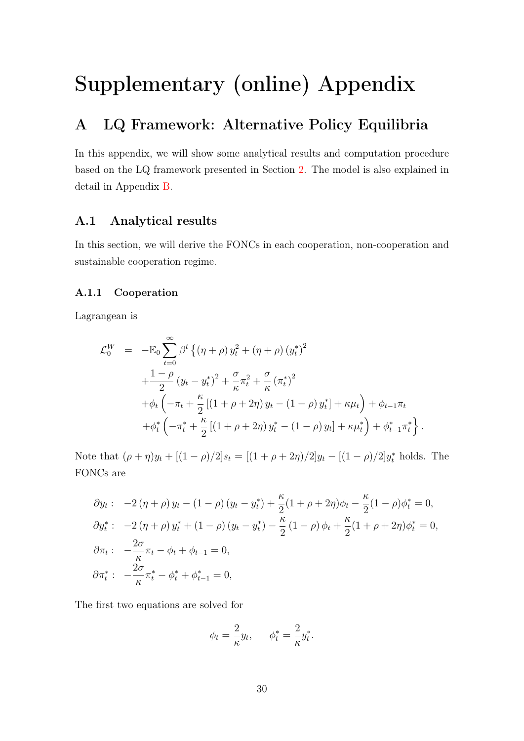# Supplementary (online) Appendix

# <span id="page-29-0"></span>A LQ Framework: Alternative Policy Equilibria

In this appendix, we will show some analytical results and computation procedure based on the LQ framework presented in Section [2.](#page-5-0) The model is also explained in detail in Appendix [B.](#page-35-0)

## <span id="page-29-1"></span>A.1 Analytical results

In this section, we will derive the FONCs in each cooperation, non-cooperation and sustainable cooperation regime.

#### A.1.1 Cooperation

Lagrangean is

$$
\mathcal{L}_0^W = -\mathbb{E}_0 \sum_{t=0}^{\infty} \beta^t \left\{ (\eta + \rho) y_t^2 + (\eta + \rho) (y_t^*)^2 + \frac{1-\rho}{2} (y_t - y_t^*)^2 + \frac{\sigma}{\kappa} \pi_t^2 + \frac{\sigma}{\kappa} (\pi_t^*)^2 + \phi_t \left( -\pi_t + \frac{\kappa}{2} \left[ (1 + \rho + 2\eta) y_t - (1 - \rho) y_t^* \right] + \kappa \mu_t \right) + \phi_{t-1} \pi_t + \phi_t^* \left( -\pi_t^* + \frac{\kappa}{2} \left[ (1 + \rho + 2\eta) y_t^* - (1 - \rho) y_t \right] + \kappa \mu_t^* \right) + \phi_{t-1}^* \pi_t^* \right\}.
$$

Note that  $(\rho + \eta)y_t + [(1 - \rho)/2]s_t = [(1 + \rho + 2\eta)/2]y_t - [(1 - \rho)/2]y_t^*$  holds. The FONCs are

$$
\partial y_t: \quad -2(\eta + \rho) y_t - (1 - \rho) (y_t - y_t^*) + \frac{\kappa}{2} (1 + \rho + 2\eta) \phi_t - \frac{\kappa}{2} (1 - \rho) \phi_t^* = 0,
$$
  

$$
\partial y_t^*: \quad -2(\eta + \rho) y_t^* + (1 - \rho) (y_t - y_t^*) - \frac{\kappa}{2} (1 - \rho) \phi_t + \frac{\kappa}{2} (1 + \rho + 2\eta) \phi_t^* = 0,
$$
  

$$
\partial \pi_t: \quad -\frac{2\sigma}{\kappa} \pi_t - \phi_t + \phi_{t-1} = 0,
$$
  

$$
\partial \pi_t^*: \quad -\frac{2\sigma}{\kappa} \pi_t^* - \phi_t^* + \phi_{t-1}^* = 0,
$$

The first two equations are solved for

$$
\phi_t = \frac{2}{\kappa} y_t, \qquad \phi_t^* = \frac{2}{\kappa} y_t^*.
$$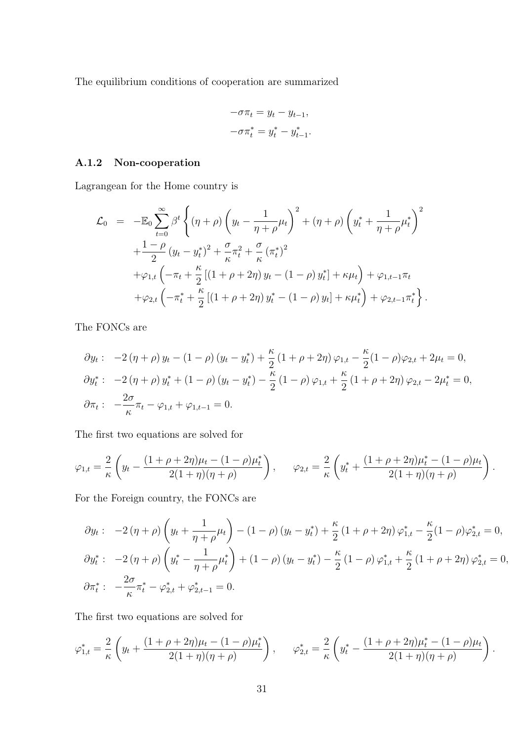The equilibrium conditions of cooperation are summarized

$$
-\sigma \pi_t = y_t - y_{t-1},
$$
  

$$
-\sigma \pi_t^* = y_t^* - y_{t-1}^*.
$$

## A.1.2 Non-cooperation

Lagrangean for the Home country is

$$
\mathcal{L}_{0} = -\mathbb{E}_{0} \sum_{t=0}^{\infty} \beta^{t} \left\{ (\eta + \rho) \left( y_{t} - \frac{1}{\eta + \rho} \mu_{t} \right)^{2} + (\eta + \rho) \left( y_{t}^{*} + \frac{1}{\eta + \rho} \mu_{t}^{*} \right)^{2} + \frac{1 - \rho}{2} (y_{t} - y_{t}^{*})^{2} + \frac{\sigma}{\kappa} \pi_{t}^{2} + \frac{\sigma}{\kappa} (\pi_{t}^{*})^{2} + \varphi_{1,t} \left( -\pi_{t} + \frac{\kappa}{2} \left[ (1 + \rho + 2\eta) y_{t} - (1 - \rho) y_{t}^{*} \right] + \kappa \mu_{t} \right) + \varphi_{1,t-1} \pi_{t} + \varphi_{2,t} \left( -\pi_{t}^{*} + \frac{\kappa}{2} \left[ (1 + \rho + 2\eta) y_{t}^{*} - (1 - \rho) y_{t} \right] + \kappa \mu_{t}^{*} \right) + \varphi_{2,t-1} \pi_{t}^{*} \right\}.
$$

The FONCs are

$$
\partial y_t: \quad -2(\eta + \rho) y_t - (1 - \rho) (y_t - y_t^*) + \frac{\kappa}{2} (1 + \rho + 2\eta) \varphi_{1,t} - \frac{\kappa}{2} (1 - \rho) \varphi_{2,t} + 2\mu_t = 0,
$$
  

$$
\partial y_t^*: \quad -2(\eta + \rho) y_t^* + (1 - \rho) (y_t - y_t^*) - \frac{\kappa}{2} (1 - \rho) \varphi_{1,t} + \frac{\kappa}{2} (1 + \rho + 2\eta) \varphi_{2,t} - 2\mu_t^* = 0,
$$
  

$$
\partial \pi_t: \quad -\frac{2\sigma}{\kappa} \pi_t - \varphi_{1,t} + \varphi_{1,t-1} = 0.
$$

The first two equations are solved for

$$
\varphi_{1,t} = \frac{2}{\kappa} \left( y_t - \frac{(1+\rho+2\eta)\mu_t - (1-\rho)\mu_t^*}{2(1+\eta)(\eta+\rho)} \right), \qquad \varphi_{2,t} = \frac{2}{\kappa} \left( y_t^* + \frac{(1+\rho+2\eta)\mu_t^* - (1-\rho)\mu_t}{2(1+\eta)(\eta+\rho)} \right).
$$

For the Foreign country, the FONCs are

$$
\partial y_t: \quad -2(\eta + \rho) \left( y_t + \frac{1}{\eta + \rho} \mu_t \right) - (1 - \rho) \left( y_t - y_t^* \right) + \frac{\kappa}{2} \left( 1 + \rho + 2\eta \right) \varphi_{1,t}^* - \frac{\kappa}{2} (1 - \rho) \varphi_{2,t}^* = 0,
$$
\n
$$
\partial y_t^*: \quad -2(\eta + \rho) \left( y_t^* - \frac{1}{\eta + \rho} \mu_t^* \right) + (1 - \rho) \left( y_t - y_t^* \right) - \frac{\kappa}{2} \left( 1 - \rho \right) \varphi_{1,t}^* + \frac{\kappa}{2} \left( 1 + \rho + 2\eta \right) \varphi_{2,t}^* = 0,
$$
\n
$$
\partial \pi_t^*: \quad -\frac{2\sigma}{\kappa} \pi_t^* - \varphi_{2,t}^* + \varphi_{2,t-1}^* = 0.
$$

The first two equations are solved for

$$
\varphi_{1,t}^* = \frac{2}{\kappa} \left( y_t + \frac{(1+\rho+2\eta)\mu_t - (1-\rho)\mu_t^*}{2(1+\eta)(\eta+\rho)} \right), \qquad \varphi_{2,t}^* = \frac{2}{\kappa} \left( y_t^* - \frac{(1+\rho+2\eta)\mu_t^* - (1-\rho)\mu_t}{2(1+\eta)(\eta+\rho)} \right).
$$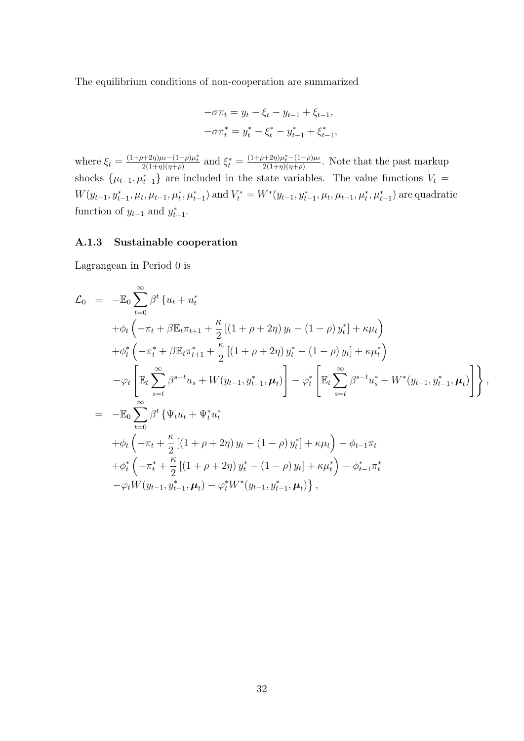The equilibrium conditions of non-cooperation are summarized

$$
-\sigma \pi_t = y_t - \xi_t - y_{t-1} + \xi_{t-1},
$$
  

$$
-\sigma \pi_t^* = y_t^* - \xi_t^* - y_{t-1}^* + \xi_{t-1}^*,
$$

where  $\xi_t = \frac{(1+\rho+2\eta)\mu_t - (1-\rho)\mu_t^*}{2(1+\eta)(\eta+\rho)}$  and  $\xi_t^* = \frac{(1+\rho+2\eta)\mu_t^* - (1-\rho)\mu_t}{2(1+\eta)(\eta+\rho)}$  $\frac{2(1+\eta)\mu_t-(1-\rho)\mu_t}{2(1+\eta)(\eta+\rho)}$ . Note that the past markup shocks  $\{\mu_{t-1}, \mu_{t-1}^*\}$  are included in the state variables. The value functions  $V_t =$  $W(y_{t-1}, y_{t-1}^*, \mu_t, \mu_{t-1}, \mu_t^*, \mu_{t-1}^*)$  and  $V_t^* = W^*(y_{t-1}, y_{t-1}^*, \mu_t, \mu_{t-1}, \mu_t^*, \mu_{t-1}^*)$  are quadratic function of  $y_{t-1}$  and  $y_{t-1}^*$ .

#### A.1.3 Sustainable cooperation

Lagrangean in Period 0 is

$$
\mathcal{L}_{0} = -\mathbb{E}_{0} \sum_{t=0}^{\infty} \beta^{t} \{ u_{t} + u_{t}^{*} + \phi_{t} \left( -\pi_{t} + \beta \mathbb{E}_{t} \pi_{t+1} + \frac{\kappa}{2} \left[ (1 + \rho + 2\eta) y_{t} - (1 - \rho) y_{t}^{*} \right] + \kappa \mu_{t} \right) \n+ \phi_{t}^{*} \left( -\pi_{t}^{*} + \beta \mathbb{E}_{t} \pi_{t+1}^{*} + \frac{\kappa}{2} \left[ (1 + \rho + 2\eta) y_{t}^{*} - (1 - \rho) y_{t} \right] + \kappa \mu_{t}^{*} \right) \n- \varphi_{t} \left[ \mathbb{E}_{t} \sum_{s=t}^{\infty} \beta^{s-t} u_{s} + W(y_{t-1}, y_{t-1}^{*}, \mu_{t}) \right] - \varphi_{t}^{*} \left[ \mathbb{E}_{t} \sum_{s=t}^{\infty} \beta^{s-t} u_{s}^{*} + W^{*}(y_{t-1}, y_{t-1}^{*}, \mu_{t}) \right] \right\},
$$
\n
$$
= -\mathbb{E}_{0} \sum_{t=0}^{\infty} \beta^{t} \left\{ \Psi_{t} u_{t} + \Psi_{t}^{*} u_{t}^{*} + \phi_{t} \left( -\pi_{t} + \frac{\kappa}{2} \left[ (1 + \rho + 2\eta) y_{t} - (1 - \rho) y_{t}^{*} \right] + \kappa \mu_{t} \right) - \phi_{t-1} \pi_{t} + \phi_{t}^{*} \left( -\pi_{t}^{*} + \frac{\kappa}{2} \left[ (1 + \rho + 2\eta) y_{t}^{*} - (1 - \rho) y_{t} \right] + \kappa \mu_{t}^{*} \right) - \phi_{t-1}^{*} \pi_{t}^{*} \n- \varphi_{t} W(y_{t-1}, y_{t-1}^{*}, \mu_{t}) - \varphi_{t}^{*} W^{*}(y_{t-1}, y_{t-1}^{*}, \mu_{t}) \right\},
$$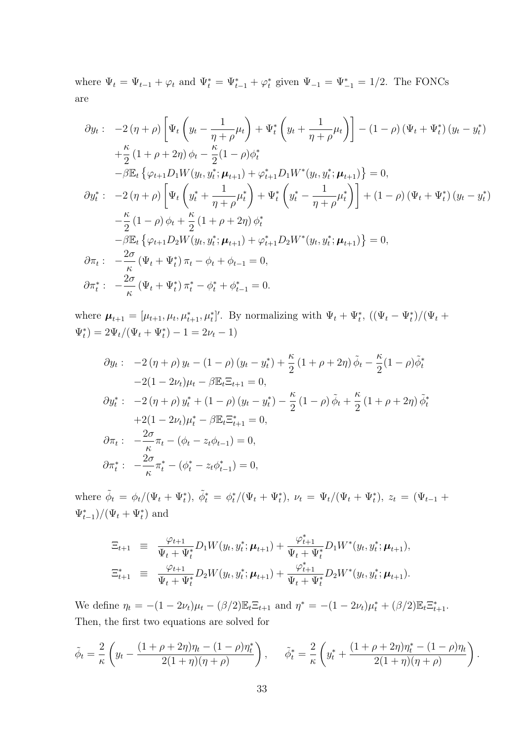where  $\Psi_t = \Psi_{t-1} + \varphi_t$  and  $\Psi_t^* = \Psi_{t-1}^* + \varphi_t^*$  given  $\Psi_{-1} = \Psi_{-1}^* = 1/2$ . The FONCs are

$$
\partial y_t: -2(\eta + \rho) \left[ \Psi_t \left( y_t - \frac{1}{\eta + \rho} \mu_t \right) + \Psi_t^* \left( y_t + \frac{1}{\eta + \rho} \mu_t \right) \right] - (1 - \rho) (\Psi_t + \Psi_t^*) (y_t - y_t^*)
$$
  
\n
$$
+ \frac{\kappa}{2} (1 + \rho + 2\eta) \phi_t - \frac{\kappa}{2} (1 - \rho) \phi_t^*
$$
  
\n
$$
- \beta \mathbb{E}_t \left\{ \varphi_{t+1} D_1 W(y_t, y_t^*; \mu_{t+1}) + \varphi_{t+1}^* D_1 W^* (y_t, y_t^*; \mu_{t+1}) \right\} = 0,
$$
  
\n
$$
\partial y_t^*: -2(\eta + \rho) \left[ \Psi_t \left( y_t^* + \frac{1}{\eta + \rho} \mu_t^* \right) + \Psi_t^* \left( y_t^* - \frac{1}{\eta + \rho} \mu_t^* \right) \right] + (1 - \rho) (\Psi_t + \Psi_t^*) (y_t - y_t^*)
$$
  
\n
$$
- \frac{\kappa}{2} (1 - \rho) \phi_t + \frac{\kappa}{2} (1 + \rho + 2\eta) \phi_t^*
$$
  
\n
$$
- \beta \mathbb{E}_t \left\{ \varphi_{t+1} D_2 W(y_t, y_t^*; \mu_{t+1}) + \varphi_{t+1}^* D_2 W^* (y_t, y_t^*; \mu_{t+1}) \right\} = 0,
$$
  
\n
$$
\partial \pi_t: - \frac{2\sigma}{\kappa} (\Psi_t + \Psi_t^*) \pi_t - \phi_t + \phi_{t-1} = 0,
$$
  
\n
$$
\partial \pi_t^*: - \frac{2\sigma}{\kappa} (\Psi_t + \Psi_t^*) \pi_t^* - \phi_t^* + \phi_{t-1}^* = 0.
$$

where  $\mu_{t+1} = [\mu_{t+1}, \mu_t, \mu_{t+1}^*, \mu_t^*]'$ . By normalizing with  $\Psi_t + \Psi_t^*$ ,  $((\Psi_t - \Psi_t^*)/(\Psi_t +$  $\Psi_t^*$ ) =  $2\Psi_t/(\Psi_t + \Psi_t^*) - 1 = 2\nu_t - 1$ )

$$
\partial y_t: \quad -2(\eta + \rho) y_t - (1 - \rho) (y_t - y_t^*) + \frac{\kappa}{2} (1 + \rho + 2\eta) \tilde{\phi}_t - \frac{\kappa}{2} (1 - \rho) \tilde{\phi}_t^*
$$
  
\n
$$
-2(1 - 2\nu_t)\mu_t - \beta \mathbb{E}_t \Xi_{t+1} = 0,
$$
  
\n
$$
\partial y_t^*: \quad -2(\eta + \rho) y_t^* + (1 - \rho) (y_t - y_t^*) - \frac{\kappa}{2} (1 - \rho) \tilde{\phi}_t + \frac{\kappa}{2} (1 + \rho + 2\eta) \tilde{\phi}_t^*
$$
  
\n
$$
+2(1 - 2\nu_t)\mu_t^* - \beta \mathbb{E}_t \Xi_{t+1}^* = 0,
$$
  
\n
$$
\partial \pi_t: \quad -\frac{2\sigma}{\kappa} \pi_t - (\phi_t - z_t \phi_{t-1}) = 0,
$$
  
\n
$$
\partial \pi_t^*: \quad -\frac{2\sigma}{\kappa} \pi_t^* - (\phi_t^* - z_t \phi_{t-1}^*) = 0,
$$

where  $\tilde{\phi}_t = \phi_t/(\Psi_t + \Psi_t^*)$ ,  $\tilde{\phi}_t^* = \phi_t^*/(\Psi_t + \Psi_t^*)$ ,  $\nu_t = \Psi_t/(\Psi_t + \Psi_t^*)$ ,  $z_t = (\Psi_{t-1} + \Psi_t^*)$  $(\Psi_{t-1}^*)/(\Psi_t + \Psi_t^*)$  and

$$
\begin{array}{rcl}\n\Xi_{t+1} & \equiv & \frac{\varphi_{t+1}}{\Psi_t + \Psi_t^*} D_1 W(y_t, y_t^*; \mu_{t+1}) + \frac{\varphi_{t+1}^*}{\Psi_t + \Psi_t^*} D_1 W^*(y_t, y_t^*; \mu_{t+1}), \\
\Xi_{t+1}^* & \equiv & \frac{\varphi_{t+1}}{\Psi_t + \Psi_t^*} D_2 W(y_t, y_t^*; \mu_{t+1}) + \frac{\varphi_{t+1}^*}{\Psi_t + \Psi_t^*} D_2 W^*(y_t, y_t^*; \mu_{t+1}).\n\end{array}
$$

We define  $\eta_t = -(1 - 2\nu_t)\mu_t - (\beta/2)\mathbb{E}_t \mathbb{E}_{t+1}$  and  $\eta^* = -(1 - 2\nu_t)\mu_t^* + (\beta/2)\mathbb{E}_t \mathbb{E}_{t+1}^*$ . Then, the first two equations are solved for

$$
\tilde{\phi}_t = \frac{2}{\kappa} \left( y_t - \frac{(1+\rho+2\eta)\eta_t - (1-\rho)\eta_t^*}{2(1+\eta)(\eta+\rho)} \right), \quad \tilde{\phi}_t^* = \frac{2}{\kappa} \left( y_t^* + \frac{(1+\rho+2\eta)\eta_t^* - (1-\rho)\eta_t}{2(1+\eta)(\eta+\rho)} \right).
$$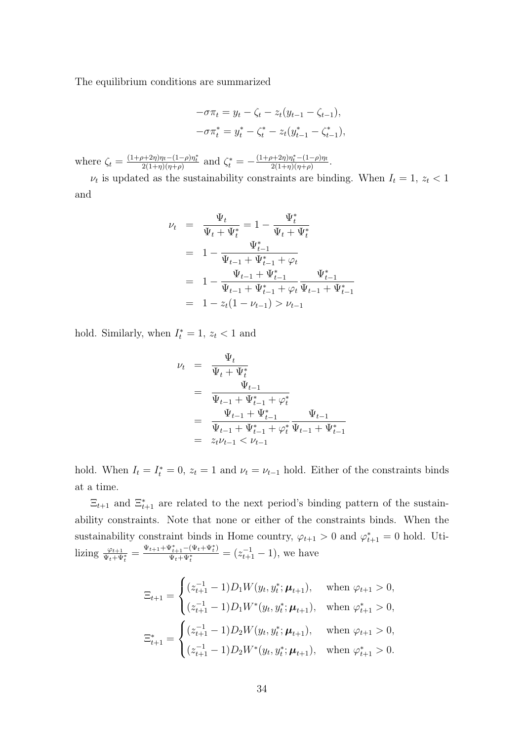The equilibrium conditions are summarized

$$
-\sigma \pi_t = y_t - \zeta_t - z_t (y_{t-1} - \zeta_{t-1}),
$$
  

$$
-\sigma \pi_t^* = y_t^* - \zeta_t^* - z_t (y_{t-1}^* - \zeta_{t-1}^*),
$$

where  $\zeta_t = \frac{(1+\rho+2\eta)\eta_t - (1-\rho)\eta_t^*}{2(1+\eta)(\eta+\rho)}$  and  $\zeta_t^* = -\frac{(1+\rho+2\eta)\eta_t^* - (1-\rho)\eta_t}{2(1+\eta)(\eta+\rho)}$  $\frac{2(1+\eta)\eta_t-(1-\rho)\eta_t}{2(1+\eta)(\eta+\rho)}.$ 

 $\nu_t$  is updated as the sustainability constraints are binding. When  $I_t = 1, z_t < 1$ and

$$
\nu_{t} = \frac{\Psi_{t}}{\Psi_{t} + \Psi_{t}^{*}} = 1 - \frac{\Psi_{t}^{*}}{\Psi_{t} + \Psi_{t}^{*}}
$$
\n
$$
= 1 - \frac{\Psi_{t-1}^{*}}{\Psi_{t-1} + \Psi_{t-1}^{*} + \varphi_{t}}
$$
\n
$$
= 1 - \frac{\Psi_{t-1} + \Psi_{t-1}^{*}}{\Psi_{t-1} + \Psi_{t-1}^{*} + \varphi_{t}} \frac{\Psi_{t-1}^{*}}{\Psi_{t-1} + \Psi_{t-1}^{*}}
$$
\n
$$
= 1 - z_{t}(1 - \nu_{t-1}) > \nu_{t-1}
$$

hold. Similarly, when  $I_t^* = 1$ ,  $z_t < 1$  and

$$
\nu_{t} = \frac{\Psi_{t}}{\Psi_{t} + \Psi_{t}^{*}}
$$
\n
$$
= \frac{\Psi_{t-1}}{\Psi_{t-1} + \Psi_{t-1}^{*} + \varphi_{t}^{*}}
$$
\n
$$
= \frac{\Psi_{t-1} + \Psi_{t-1}^{*}}{\Psi_{t-1} + \Psi_{t-1}^{*} + \varphi_{t}^{*}} \frac{\Psi_{t-1}}{\Psi_{t-1} + \Psi_{t-1}^{*}}
$$
\n
$$
= z_{t} \nu_{t-1} < \nu_{t-1}
$$

hold. When  $I_t = I_t^* = 0$ ,  $z_t = 1$  and  $\nu_t = \nu_{t-1}$  hold. Either of the constraints binds at a time.

 $\Xi_{t+1}$  and  $\Xi_{t+1}^*$  are related to the next period's binding pattern of the sustainability constraints. Note that none or either of the constraints binds. When the sustainability constraint binds in Home country,  $\varphi_{t+1} > 0$  and  $\varphi_{t+1}^* = 0$  hold. Utilizing  $\frac{\varphi_{t+1}}{\Psi_t + \Psi_t^*} = \frac{\Psi_{t+1} + \Psi_{t+1}^* - (\Psi_t + \Psi_t^*)}{\Psi_t + \Psi_t^*}$  $\frac{\Psi_{t+1}^*(-\Psi_t + \Psi_t^*)}{\Psi_t + \Psi_t^*} = (z_{t+1}^{-1} - 1),$  we have

$$
\Xi_{t+1} = \begin{cases}\n(z_{t+1}^{-1} - 1)D_1 W(y_t, y_t^*; \mu_{t+1}), & \text{when } \varphi_{t+1} > 0, \\
(z_{t+1}^{-1} - 1)D_1 W^*(y_t, y_t^*; \mu_{t+1}), & \text{when } \varphi_{t+1}^* > 0, \\
\Xi_{t+1}^* = \begin{cases}\n(z_{t+1}^{-1} - 1)D_2 W(y_t, y_t^*; \mu_{t+1}), & \text{when } \varphi_{t+1} > 0, \\
(z_{t+1}^{-1} - 1)D_2 W^*(y_t, y_t^*; \mu_{t+1}), & \text{when } \varphi_{t+1}^* > 0.\n\end{cases}
$$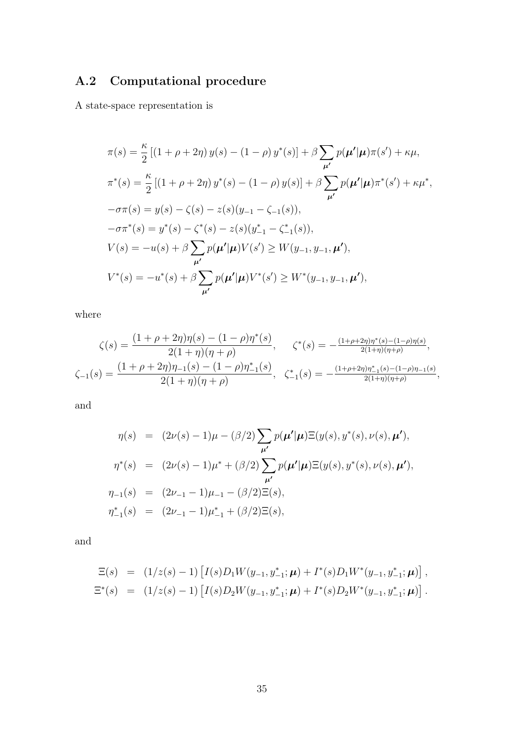# <span id="page-34-0"></span>A.2 Computational procedure

A state-space representation is

$$
\pi(s) = \frac{\kappa}{2} \left[ (1 + \rho + 2\eta) y(s) - (1 - \rho) y^*(s) \right] + \beta \sum_{\mu'} p(\mu' | \mu) \pi(s') + \kappa \mu,
$$
  
\n
$$
\pi^*(s) = \frac{\kappa}{2} \left[ (1 + \rho + 2\eta) y^*(s) - (1 - \rho) y(s) \right] + \beta \sum_{\mu'} p(\mu' | \mu) \pi^*(s') + \kappa \mu^*,
$$
  
\n
$$
-\sigma \pi(s) = y(s) - \zeta(s) - z(s) (y_{-1} - \zeta_{-1}(s)),
$$
  
\n
$$
-\sigma \pi^*(s) = y^*(s) - \zeta^*(s) - z(s) (y_{-1}^* - \zeta_{-1}^*(s)),
$$
  
\n
$$
V(s) = -u(s) + \beta \sum_{\mu'} p(\mu' | \mu) V(s') \ge W(y_{-1}, y_{-1}, \mu'),
$$
  
\n
$$
V^*(s) = -u^*(s) + \beta \sum_{\mu'} p(\mu' | \mu) V^*(s') \ge W^*(y_{-1}, y_{-1}, \mu'),
$$

where

$$
\zeta(s) = \frac{(1+\rho+2\eta)\eta(s) - (1-\rho)\eta^*(s)}{2(1+\eta)(\eta+\rho)}, \qquad \zeta^*(s) = -\frac{(1+\rho+2\eta)\eta^*(s) - (1-\rho)\eta(s)}{2(1+\eta)(\eta+\rho)},
$$
  

$$
\zeta_{-1}(s) = \frac{(1+\rho+2\eta)\eta_{-1}(s) - (1-\rho)\eta_{-1}^*(s)}{2(1+\eta)(\eta+\rho)}, \qquad \zeta_{-1}^*(s) = -\frac{(1+\rho+2\eta)\eta_{-1}^*(s) - (1-\rho)\eta_{-1}(s)}{2(1+\eta)(\eta+\rho)},
$$

and

$$
\eta(s) = (2\nu(s) - 1)\mu - (\beta/2) \sum_{\mu'} p(\mu'|\mu) \Xi(y(s), y^*(s), \nu(s), \mu'),
$$
  

$$
\eta^*(s) = (2\nu(s) - 1)\mu^* + (\beta/2) \sum_{\mu'} p(\mu'|\mu) \Xi(y(s), y^*(s), \nu(s), \mu'),
$$
  

$$
\eta_{-1}(s) = (2\nu_{-1} - 1)\mu_{-1} - (\beta/2) \Xi(s),
$$
  

$$
\eta^*_{-1}(s) = (2\nu_{-1} - 1)\mu^*_{-1} + (\beta/2) \Xi(s),
$$

and

$$
\Xi(s) = (1/z(s) - 1) [I(s)D_1 W(y_{-1}, y_{-1}^*; \boldsymbol{\mu}) + I^*(s)D_1 W^*(y_{-1}, y_{-1}^*; \boldsymbol{\mu})],
$$
  

$$
\Xi^*(s) = (1/z(s) - 1) [I(s)D_2 W(y_{-1}, y_{-1}^*; \boldsymbol{\mu}) + I^*(s)D_2 W^*(y_{-1}, y_{-1}^*; \boldsymbol{\mu})].
$$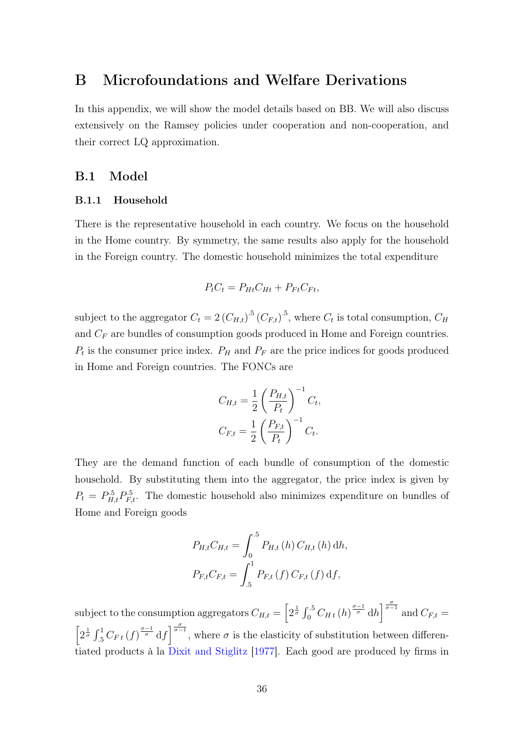# <span id="page-35-0"></span>B Microfoundations and Welfare Derivations

In this appendix, we will show the model details based on BB. We will also discuss extensively on the Ramsey policies under cooperation and non-cooperation, and their correct LQ approximation.

## <span id="page-35-1"></span>B.1 Model

#### B.1.1 Household

There is the representative household in each country. We focus on the household in the Home country. By symmetry, the same results also apply for the household in the Foreign country. The domestic household minimizes the total expenditure

$$
P_t C_t = P_{Ht} C_{Ht} + P_{Ft} C_{Ft},
$$

subject to the aggregator  $C_t = 2 (C_{H,t})^5 (C_{F,t})^5$ , where  $C_t$  is total consumption,  $C_H$ and  $C_F$  are bundles of consumption goods produced in Home and Foreign countries.  $P_t$  is the consumer price index.  $P_H$  and  $P_F$  are the price indices for goods produced in Home and Foreign countries. The FONCs are

$$
C_{H,t} = \frac{1}{2} \left( \frac{P_{H,t}}{P_t} \right)^{-1} C_t,
$$
  

$$
C_{F,t} = \frac{1}{2} \left( \frac{P_{F,t}}{P_t} \right)^{-1} C_t.
$$

They are the demand function of each bundle of consumption of the domestic household. By substituting them into the aggregator, the price index is given by  $P_t = P_{H,t}^5 P_{F,t}^5$ . The domestic household also minimizes expenditure on bundles of Home and Foreign goods

$$
P_{H,t}C_{H,t} = \int_0^{.5} P_{H,t}(h) C_{H,t}(h) dh,
$$
  

$$
P_{F,t}C_{F,t} = \int_{.5}^{1} P_{F,t}(f) C_{F,t}(f) df,
$$

subject to the consumption aggregators  $C_{H,t} = \left[2^{\frac{1}{\sigma}} \int_0^5 C_{H,t}(h)^{\frac{\sigma-1}{\sigma}} dh\right]^{\frac{\sigma}{\sigma-1}}$  and  $C_{F,t} =$  $\left[2^{\frac{1}{\sigma}}\int_{.5}^{1}C_{F\,t}(f)^{\frac{\sigma-1}{\sigma}}df\right]^{\frac{\sigma}{\sigma-1}}$ , where  $\sigma$  is the elasticity of substitution between differentiated products à la [Dixit and Stiglitz](#page-27-9) [\[1977\]](#page-27-9). Each good are produced by firms in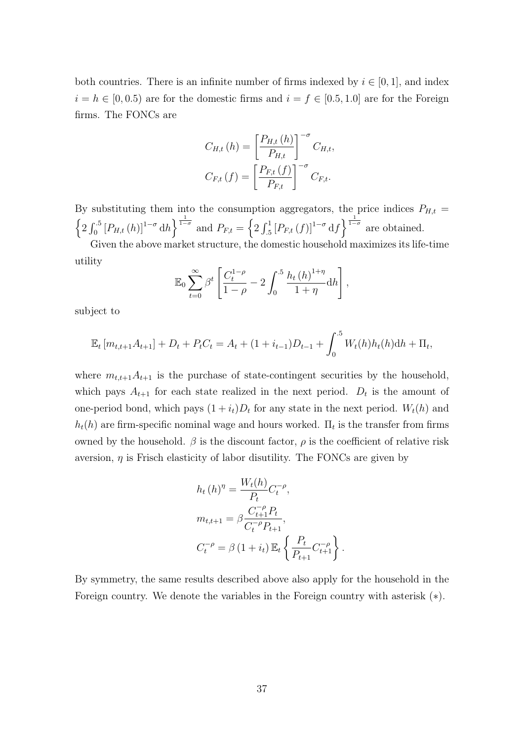both countries. There is an infinite number of firms indexed by  $i \in [0,1]$ , and index  $i = h \in [0, 0.5)$  are for the domestic firms and  $i = f \in [0.5, 1.0]$  are for the Foreign firms. The FONCs are

$$
C_{H,t}(h) = \left[\frac{P_{H,t}(h)}{P_{H,t}}\right]^{-\sigma} C_{H,t},
$$

$$
C_{F,t}(f) = \left[\frac{P_{F,t}(f)}{P_{F,t}}\right]^{-\sigma} C_{F,t}.
$$

By substituting them into the consumption aggregators, the price indices  $P_{H,t}$  =  $\left\{2\int_0^5 [P_{H,t}(h)]^{1-\sigma} dh\right\}^{\frac{1}{1-\sigma}}$  and  $P_{F,t} = \left\{2\int_0^1 [P_{F,t}(f)]^{1-\sigma} df\right\}^{\frac{1}{1-\sigma}}$  are obtained. Given the above market structure, the domestic household maximizes its life-time

utility

$$
\mathbb{E}_0 \sum_{t=0}^{\infty} \beta^t \left[ \frac{C_t^{1-\rho}}{1-\rho} - 2 \int_0^{.5} \frac{h_t(h)^{1+\eta}}{1+\eta} dh \right],
$$

subject to

$$
\mathbb{E}_t \left[ m_{t,t+1} A_{t+1} \right] + D_t + P_t C_t = A_t + (1 + i_{t-1}) D_{t-1} + \int_0^5 W_t(h) h_t(h) \mathrm{d}h + \Pi_t,
$$

where  $m_{t,t+1}A_{t+1}$  is the purchase of state-contingent securities by the household, which pays  $A_{t+1}$  for each state realized in the next period.  $D_t$  is the amount of one-period bond, which pays  $(1 + i_t)D_t$  for any state in the next period.  $W_t(h)$  and  $h_t(h)$  are firm-specific nominal wage and hours worked.  $\Pi_t$  is the transfer from firms owned by the household.  $\beta$  is the discount factor,  $\rho$  is the coefficient of relative risk aversion,  $\eta$  is Frisch elasticity of labor disutility. The FONCs are given by

$$
h_t (h)^\eta = \frac{W_t(h)}{P_t} C_t^{-\rho},
$$
  
\n
$$
m_{t,t+1} = \beta \frac{C_{t+1}^{-\rho} P_t}{C_t^{-\rho} P_{t+1}},
$$
  
\n
$$
C_t^{-\rho} = \beta (1 + i_t) \mathbb{E}_t \left\{ \frac{P_t}{P_{t+1}} C_{t+1}^{-\rho} \right\}.
$$

By symmetry, the same results described above also apply for the household in the Foreign country. We denote the variables in the Foreign country with asterisk (∗).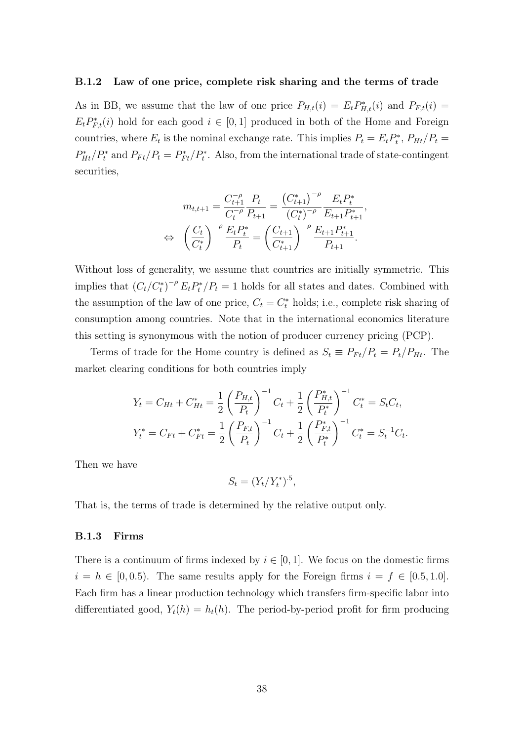#### B.1.2 Law of one price, complete risk sharing and the terms of trade

As in BB, we assume that the law of one price  $P_{H,t}(i) = E_t P_{H,t}^*(i)$  and  $P_{F,t}(i) =$  $E_t P_{F,t}^*(i)$  hold for each good  $i \in [0,1]$  produced in both of the Home and Foreign countries, where  $E_t$  is the nominal exchange rate. This implies  $P_t = E_t P_t^*$ ,  $P_{Ht}/P_t =$  $P_{Ht}^*/P_t^*$  and  $P_{Ft}/P_t = P_{Ft}^*/P_t^*$ . Also, from the international trade of state-contingent securities,

$$
m_{t,t+1} = \frac{C_{t+1}^{-\rho}}{C_t^{-\rho}} \frac{P_t}{P_{t+1}} = \frac{\left(C_{t+1}^*\right)^{-\rho}}{\left(C_t^*\right)^{-\rho}} \frac{E_t P_t^*}{E_{t+1} P_{t+1}^*},
$$
  
\n
$$
\Leftrightarrow \left(\frac{C_t}{C_t^*}\right)^{-\rho} \frac{E_t P_t^*}{P_t} = \left(\frac{C_{t+1}}{C_{t+1}^*}\right)^{-\rho} \frac{E_{t+1} P_{t+1}^*}{P_{t+1}}.
$$

Without loss of generality, we assume that countries are initially symmetric. This implies that  $(C_t/C_t^*)^{-\rho} E_t P_t^*/P_t = 1$  holds for all states and dates. Combined with the assumption of the law of one price,  $C_t = C_t^*$  holds; i.e., complete risk sharing of consumption among countries. Note that in the international economics literature this setting is synonymous with the notion of producer currency pricing (PCP).

Terms of trade for the Home country is defined as  $S_t \equiv P_{Ft}/P_t = P_t/P_{Ht}$ . The market clearing conditions for both countries imply

$$
Y_t = C_{Ht} + C_{Ht}^* = \frac{1}{2} \left(\frac{P_{H,t}}{P_t}\right)^{-1} C_t + \frac{1}{2} \left(\frac{P_{H,t}^*}{P_t^*}\right)^{-1} C_t^* = S_t C_t,
$$
  

$$
Y_t^* = C_{Ft} + C_{Ft}^* = \frac{1}{2} \left(\frac{P_{F,t}}{P_t}\right)^{-1} C_t + \frac{1}{2} \left(\frac{P_{F,t}^*}{P_t^*}\right)^{-1} C_t^* = S_t^{-1} C_t.
$$

Then we have

$$
S_t = (Y_t/Y_t^*)^{.5},
$$

That is, the terms of trade is determined by the relative output only.

#### B.1.3 Firms

There is a continuum of firms indexed by  $i \in [0, 1]$ . We focus on the domestic firms  $i = h \in [0, 0.5)$ . The same results apply for the Foreign firms  $i = f \in [0.5, 1.0]$ . Each firm has a linear production technology which transfers firm-specific labor into differentiated good,  $Y_t(h) = h_t(h)$ . The period-by-period profit for firm producing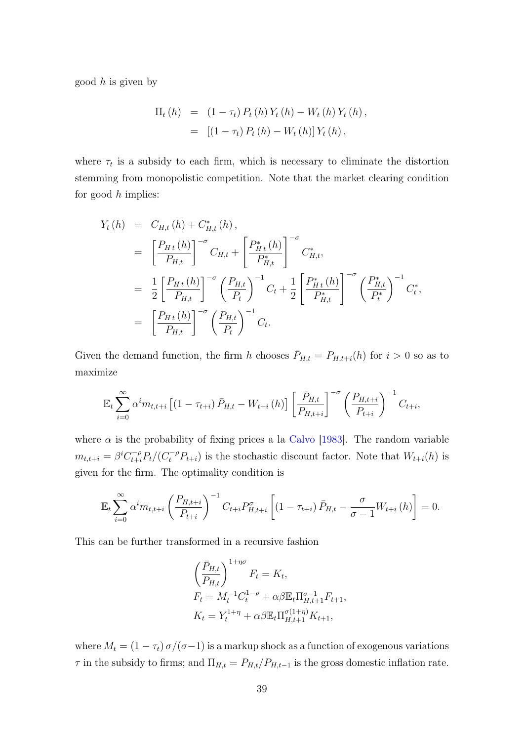good  $h$  is given by

$$
\Pi_{t}(h) = (1 - \tau_{t}) P_{t}(h) Y_{t}(h) - W_{t}(h) Y_{t}(h),
$$
  
= [(1 - \tau\_{t}) P\_{t}(h) - W\_{t}(h)] Y\_{t}(h),

where  $\tau_t$  is a subsidy to each firm, which is necessary to eliminate the distortion stemming from monopolistic competition. Note that the market clearing condition for good  $h$  implies:

$$
Y_{t}(h) = C_{H,t}(h) + C_{H,t}^{*}(h),
$$
  
\n
$$
= \left[\frac{P_{Ht}(h)}{P_{H,t}}\right]^{-\sigma} C_{H,t} + \left[\frac{P_{Ht}^{*}(h)}{P_{H,t}^{*}}\right]^{-\sigma} C_{H,t}^{*},
$$
  
\n
$$
= \frac{1}{2} \left[\frac{P_{Ht}(h)}{P_{H,t}}\right]^{-\sigma} \left(\frac{P_{H,t}}{P_{t}}\right)^{-1} C_{t} + \frac{1}{2} \left[\frac{P_{Ht}^{*}(h)}{P_{H,t}^{*}}\right]^{-\sigma} \left(\frac{P_{H,t}^{*}}{P_{t}^{*}}\right)^{-1} C_{t}^{*},
$$
  
\n
$$
= \left[\frac{P_{Ht}(h)}{P_{H,t}}\right]^{-\sigma} \left(\frac{P_{H,t}}{P_{t}}\right)^{-1} C_{t}.
$$

Given the demand function, the firm h chooses  $\bar{P}_{H,t} = P_{H,t+i}(h)$  for  $i > 0$  so as to maximize

$$
\mathbb{E}_{t} \sum_{i=0}^{\infty} \alpha^{i} m_{t,t+i} \left[ (1 - \tau_{t+i}) \bar{P}_{H,t} - W_{t+i} \left( h \right) \right] \left[ \frac{\bar{P}_{H,t}}{P_{H,t+i}} \right]^{-\sigma} \left( \frac{P_{H,t+i}}{P_{t+i}} \right)^{-1} C_{t+i},
$$

where  $\alpha$  is the probability of fixing prices a la [Calvo](#page-26-8) [\[1983\]](#page-26-8). The random variable  $m_{t,t+i} = \beta^{i} C_{t+i}^{-\rho} P_t / (C_t^{-\rho} P_{t+i})$  is the stochastic discount factor. Note that  $W_{t+i}(h)$  is given for the firm. The optimality condition is

$$
\mathbb{E}_{t} \sum_{i=0}^{\infty} \alpha^{i} m_{t,t+i} \left( \frac{P_{H,t+i}}{P_{t+i}} \right)^{-1} C_{t+i} P_{H,t+i}^{\sigma} \left[ \left( 1 - \tau_{t+i} \right) \bar{P}_{H,t} - \frac{\sigma}{\sigma - 1} W_{t+i} \left( h \right) \right] = 0.
$$

This can be further transformed in a recursive fashion

$$
\left(\frac{\bar{P}_{H,t}}{P_{H,t}}\right)^{1+\eta\sigma} F_t = K_t,
$$
\n
$$
F_t = M_t^{-1} C_t^{1-\rho} + \alpha \beta \mathbb{E}_t \Pi_{H,t+1}^{\sigma-1} F_{t+1},
$$
\n
$$
K_t = Y_t^{1+\eta} + \alpha \beta \mathbb{E}_t \Pi_{H,t+1}^{\sigma(1+\eta)} K_{t+1},
$$

where  $M_t = (1 - \tau_t) \sigma/(\sigma - 1)$  is a markup shock as a function of exogenous variations  $\tau$  in the subsidy to firms; and  $\Pi_{H,t} = P_{H,t}/P_{H,t-1}$  is the gross domestic inflation rate.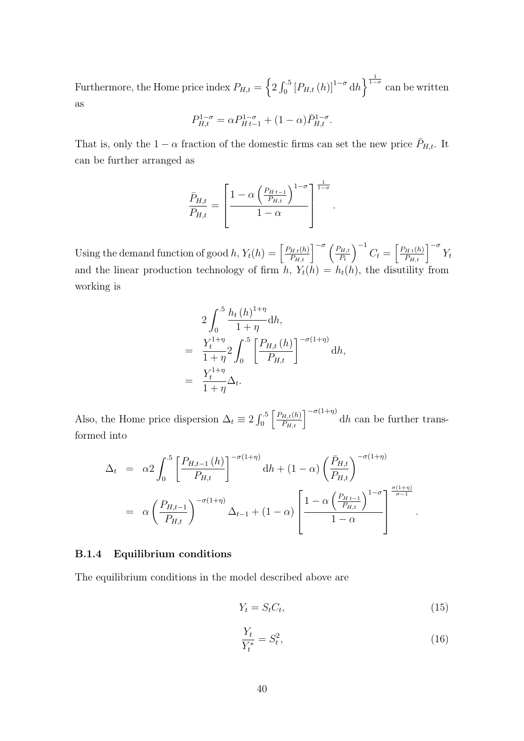Furthermore, the Home price index  $P_{H,t} = \left\{2 \int_0^5 \left[ P_{H,t} \left( h \right) \right]^{1-\sigma} dh \right\}^{\frac{1}{1-\sigma}}$  can be written as

$$
P_{H,t}^{1-\sigma} = \alpha P_{H\,t-1}^{1-\sigma} + (1-\alpha)\bar{P}_{H,t}^{1-\sigma}.
$$

That is, only the  $1 - \alpha$  fraction of the domestic firms can set the new price  $\bar{P}_{H,t}$ . It can be further arranged as

$$
\frac{\bar{P}_{H,t}}{P_{H,t}} = \left[\frac{1 - \alpha \left(\frac{P_{H,t-1}}{P_{H,t}}\right)^{1-\sigma}}{1-\alpha}\right]^{\frac{1}{1-\sigma}}
$$

.

Using the demand function of good h,  $Y_t(h) = \left[\frac{P_{H_t(h)}}{P_{H_t}}\right]^{-\sigma} \left(\frac{P_{H,t}}{P_t}\right)$  $P_t$  $\int^{-1} C_t = \left[ \frac{P_{Ht}(h)}{P_{H,t}} \right]^{-\sigma} Y_t$ and the linear production technology of firm  $h$ ,  $Y_t(h) = h_t(h)$ , the disutility from working is

$$
2\int_0^{.5} \frac{h_t(h)^{1+\eta}}{1+\eta} dh,
$$
  
=  $\frac{Y_t^{1+\eta}}{1+\eta} 2\int_0^{.5} \left[\frac{P_{H,t}(h)}{P_{H,t}}\right]^{-\sigma(1+\eta)} dh,$   
=  $\frac{Y_t^{1+\eta}}{1+\eta} \Delta_t.$ 

Also, the Home price dispersion  $\Delta_t \equiv 2 \int_0^5 \left[ \frac{P_{H,t}(h)}{P_{H,t}} \right]^{-\sigma(1+\eta)} dh$  can be further transformed into

$$
\Delta_t = \alpha 2 \int_0^{\cdot 5} \left[ \frac{P_{H,t-1}(h)}{P_{H,t}} \right]^{-\sigma(1+\eta)} dh + (1-\alpha) \left( \frac{\bar{P}_{H,t}}{P_{H,t}} \right)^{-\sigma(1+\eta)} \n= \alpha \left( \frac{P_{H,t-1}}{P_{H,t}} \right)^{-\sigma(1+\eta)} \Delta_{t-1} + (1-\alpha) \left[ \frac{1-\alpha \left( \frac{P_{H,t-1}}{P_{H,t}} \right)^{1-\sigma}}{1-\alpha} \right]^{\frac{\sigma(1+\eta)}{\sigma-1}}.
$$

#### B.1.4 Equilibrium conditions

The equilibrium conditions in the model described above are

<span id="page-39-0"></span>
$$
Y_t = S_t C_t,\tag{15}
$$

$$
\frac{Y_t}{Y_t^*} = S_t^2,\tag{16}
$$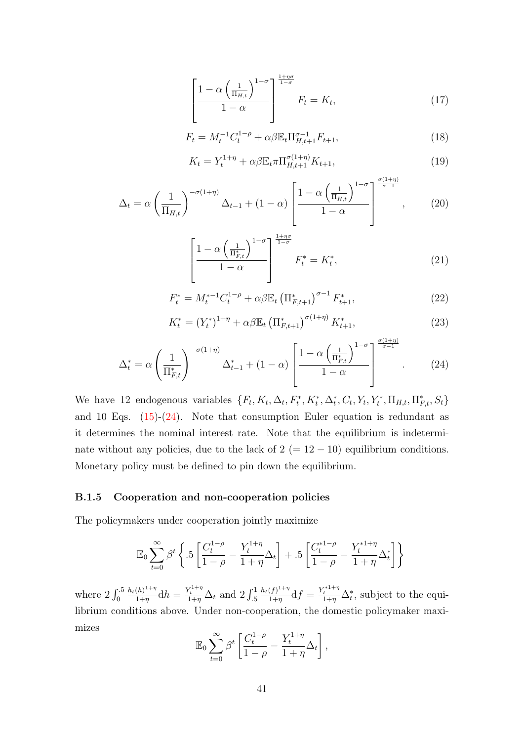$$
\left[\frac{1-\alpha\left(\frac{1}{\Pi_{H,t}}\right)^{1-\sigma}}{1-\alpha}\right]^{\frac{1+\eta\sigma}{1-\sigma}}F_t = K_t,
$$
\n(17)

$$
F_t = M_t^{-1} C_t^{1-\rho} + \alpha \beta \mathbb{E}_t \Pi_{H,t+1}^{\sigma-1} F_{t+1},
$$
\n(18)

$$
K_t = Y_t^{1+\eta} + \alpha \beta \mathbb{E}_t \pi \Pi_{H,t+1}^{\sigma(1+\eta)} K_{t+1},
$$
\n(19)

$$
\Delta_t = \alpha \left(\frac{1}{\Pi_{H,t}}\right)^{-\sigma(1+\eta)} \Delta_{t-1} + (1-\alpha) \left[\frac{1-\alpha \left(\frac{1}{\Pi_{H,t}}\right)^{1-\sigma}}{1-\alpha}\right]^{\frac{\sigma(1+\eta)}{\sigma-1}},\tag{20}
$$

$$
\left[\frac{1-\alpha\left(\frac{1}{\Pi_{F,t}^*}\right)^{1-\sigma}}{1-\alpha}\right]^{\frac{1+\eta\sigma}{1-\sigma}}F_t^* = K_t^*,\tag{21}
$$

$$
F_t^* = M_t^{*-1} C_t^{1-\rho} + \alpha \beta \mathbb{E}_t \left( \Pi_{F,t+1}^* \right)^{\sigma-1} F_{t+1}^*,\tag{22}
$$

$$
K_t^* = (Y_t^*)^{1+\eta} + \alpha \beta \mathbb{E}_t \left( \Pi_{F,t+1}^* \right)^{\sigma(1+\eta)} K_{t+1}^*,\tag{23}
$$

<span id="page-40-0"></span>
$$
\Delta_t^* = \alpha \left(\frac{1}{\Pi_{F,t}^*}\right)^{-\sigma(1+\eta)} \Delta_{t-1}^* + (1-\alpha) \left[\frac{1-\alpha \left(\frac{1}{\Pi_{F,t}^*}\right)^{1-\sigma}}{1-\alpha}\right]^{\frac{\sigma(1+\eta)}{\sigma-1}}.
$$
 (24)

We have 12 endogenous variables  $\{F_t, K_t, \Delta_t, F_t^*, K_t^*, \Delta_t^*, C_t, Y_t, Y_t^*, \Pi_{H,t}, \Pi_{F,t}^*, S_t\}$ and 10 Eqs.  $(15)-(24)$  $(15)-(24)$  $(15)-(24)$ . Note that consumption Euler equation is redundant as it determines the nominal interest rate. Note that the equilibrium is indeterminate without any policies, due to the lack of  $2 (= 12 - 10)$  equilibrium conditions. Monetary policy must be defined to pin down the equilibrium.

#### B.1.5 Cooperation and non-cooperation policies

The policymakers under cooperation jointly maximize

$$
\mathbb{E}_0 \sum_{t=0}^{\infty} \beta^t \left\{ .5 \left[ \frac{C_t^{1-\rho}}{1-\rho} - \frac{Y_t^{1+\eta}}{1+\eta} \Delta_t \right] + .5 \left[ \frac{C_t^{*1-\rho}}{1-\rho} - \frac{Y_t^{*1+\eta}}{1+\eta} \Delta_t^* \right] \right\}
$$

where  $2 \int_0^{.5}$  $h_t(h)^{1+\eta}$  $\frac{(h)^{1+\eta}}{1+\eta}$ d $h = \frac{Y_t^{1+\eta}}{1+\eta} \Delta_t$  and  $2 \int_{.5}^1$  $h_t(f)^{1+\eta}$  $\frac{(f)^{1+\eta}}{1+\eta}$ d $f = \frac{Y_t^{*1+\eta}}{1+\eta} \Delta_t^*$ , subject to the equilibrium conditions above. Under non-cooperation, the domestic policymaker maximizes

$$
\mathbb{E}_0 \sum_{t=0}^{\infty} \beta^t \left[ \frac{C_t^{1-\rho}}{1-\rho} - \frac{Y_t^{1+\eta}}{1+\eta} \Delta_t \right],
$$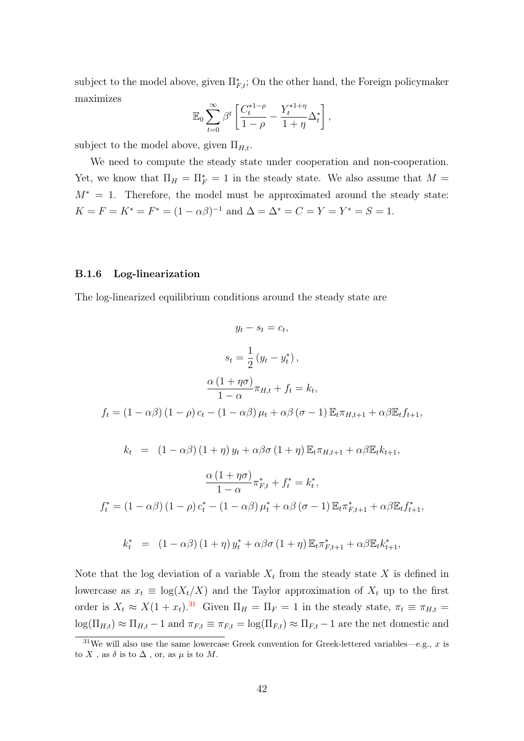subject to the model above, given  $\Pi_{F,t}^*$ ; On the other hand, the Foreign policymaker maximizes

$$
\mathbb{E}_0 \sum_{t=0}^{\infty} \beta^t \left[ \frac{C_t^{*1-\rho}}{1-\rho} - \frac{Y_t^{*1+\eta}}{1+\eta} \Delta_t^* \right],
$$

subject to the model above, given  $\Pi_{H,t}$ .

We need to compute the steady state under cooperation and non-cooperation. Yet, we know that  $\Pi_H = \Pi_F^* = 1$  in the steady state. We also assume that  $M =$  $M^* = 1$ . Therefore, the model must be approximated around the steady state:  $K = F = K^* = F^* = (1 - \alpha \beta)^{-1}$  and  $\Delta = \Delta^* = C = Y = Y^* = S = 1$ .

#### B.1.6 Log-linearization

The log-linearized equilibrium conditions around the steady state are

$$
y_t - s_t = c_t,
$$
  
\n
$$
s_t = \frac{1}{2} (y_t - y_t^*),
$$
  
\n
$$
\frac{\alpha (1 + \eta \sigma)}{1 - \alpha} \pi_{H,t} + f_t = k_t,
$$
  
\n
$$
f_t = (1 - \alpha \beta) (1 - \rho) c_t - (1 - \alpha \beta) \mu_t + \alpha \beta (\sigma - 1) \mathbb{E}_t \pi_{H,t+1} + \alpha \beta \mathbb{E}_t f_{t+1},
$$
  
\n
$$
k_t = (1 - \alpha \beta) (1 + \eta) y_t + \alpha \beta \sigma (1 + \eta) \mathbb{E}_t \pi_{H,t+1} + \alpha \beta \mathbb{E}_t k_{t+1},
$$
  
\n
$$
\frac{\alpha (1 + \eta \sigma)}{1 - \alpha} \pi_{F,t}^* + f_t^* = k_t^*,
$$
  
\n
$$
f_t^* = (1 - \alpha \beta) (1 - \rho) c_t^* - (1 - \alpha \beta) \mu_t^* + \alpha \beta (\sigma - 1) \mathbb{E}_t \pi_{F,t+1}^* + \alpha \beta \mathbb{E}_t f_{t+1}^*,
$$
  
\n
$$
k_t^* = (1 - \alpha \beta) (1 + \eta) y_t^* + \alpha \beta \sigma (1 + \eta) \mathbb{E}_t \pi_{F,t+1}^* + \alpha \beta \mathbb{E}_t k_{t+1}^*,
$$

Note that the log deviation of a variable  $X_t$  from the steady state X is defined in lowercase as  $x_t \equiv \log(X_t/X)$  and the Taylor approximation of  $X_t$  up to the first order is  $X_t \approx X(1+x_t).$ <sup>[31](#page-41-0)</sup> Given  $\Pi_H = \Pi_F = 1$  in the steady state,  $\pi_t \equiv \pi_{H,t} =$  $log(\Pi_{H,t}) \approx \Pi_{H,t} - 1$  and  $\pi_{F,t} \equiv \pi_{F,t} - log(\Pi_{F,t}) \approx \Pi_{F,t} - 1$  are the net domestic and

<span id="page-41-0"></span><sup>&</sup>lt;sup>31</sup>We will also use the same lowercase Greek convention for Greek-lettered variables—e.g., x is to X, as  $\delta$  is to  $\Delta$ , or, as  $\mu$  is to M.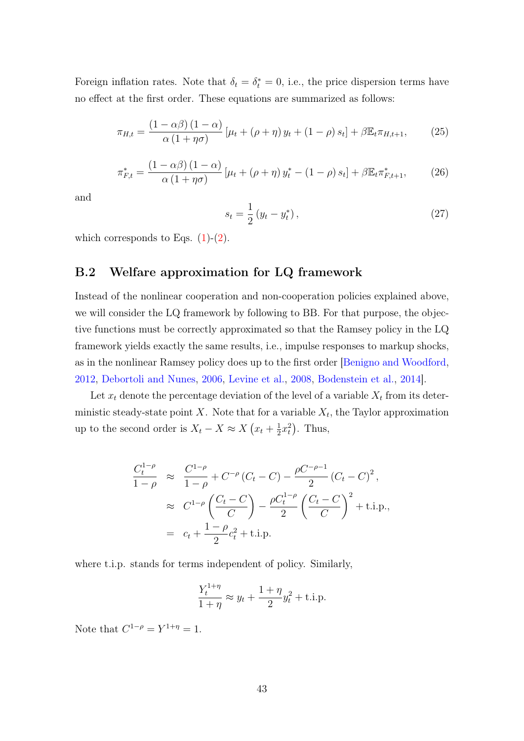Foreign inflation rates. Note that  $\delta_t = \delta_t^* = 0$ , i.e., the price dispersion terms have no effect at the first order. These equations are summarized as follows:

$$
\pi_{H,t} = \frac{(1 - \alpha \beta)(1 - \alpha)}{\alpha(1 + \eta \sigma)} \left[ \mu_t + (\rho + \eta) y_t + (1 - \rho) s_t \right] + \beta \mathbb{E}_t \pi_{H,t+1},\tag{25}
$$

$$
\pi_{F,t}^* = \frac{\left(1 - \alpha\beta\right)\left(1 - \alpha\right)}{\alpha\left(1 + \eta\sigma\right)} \left[\mu_t + \left(\rho + \eta\right)y_t^* - \left(1 - \rho\right)s_t\right] + \beta \mathbb{E}_t \pi_{F,t+1}^*,\tag{26}
$$

and

$$
s_t = \frac{1}{2} (y_t - y_t^*), \tag{27}
$$

which corresponds to Eqs.  $(1)-(2)$  $(1)-(2)$  $(1)-(2)$ .

## <span id="page-42-0"></span>B.2 Welfare approximation for LQ framework

Instead of the nonlinear cooperation and non-cooperation policies explained above, we will consider the LQ framework by following to BB. For that purpose, the objective functions must be correctly approximated so that the Ramsey policy in the LQ framework yields exactly the same results, i.e., impulse responses to markup shocks, as in the nonlinear Ramsey policy does up to the first order [\[Benigno and Woodford,](#page-26-7) [2012,](#page-26-7) [Debortoli and Nunes,](#page-27-10) [2006,](#page-27-10) [Levine et al.,](#page-28-8) [2008,](#page-28-8) [Bodenstein et al.,](#page-26-10) [2014\]](#page-26-10).

Let  $x_t$  denote the percentage deviation of the level of a variable  $X_t$  from its deterministic steady-state point X. Note that for a variable  $X_t$ , the Taylor approximation up to the second order is  $X_t - X \approx X(x_t + \frac{1}{2})$  $\frac{1}{2}x_t^2$ ). Thus,

$$
\frac{C_t^{1-\rho}}{1-\rho} \approx \frac{C^{1-\rho}}{1-\rho} + C^{-\rho} (C_t - C) - \frac{\rho C^{-\rho-1}}{2} (C_t - C)^2,
$$
  

$$
\approx C^{1-\rho} \left(\frac{C_t - C}{C}\right) - \frac{\rho C_t^{1-\rho}}{2} \left(\frac{C_t - C}{C}\right)^2 + \text{t.i.p.},
$$
  

$$
= c_t + \frac{1-\rho}{2} c_t^2 + \text{t.i.p.}
$$

where t.i.p. stands for terms independent of policy. Similarly,

$$
\frac{Y_t^{1+\eta}}{1+\eta} \approx y_t + \frac{1+\eta}{2}y_t^2 + \text{t.i.p.}
$$

Note that  $C^{1-\rho} = Y^{1+\eta} = 1$ .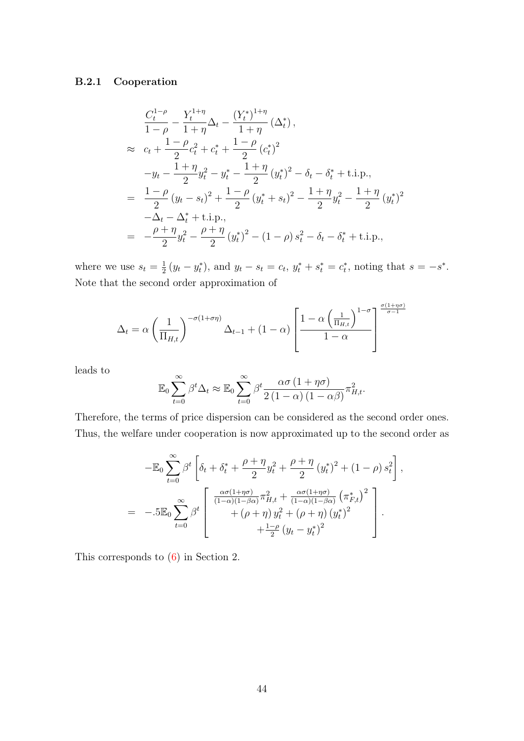## B.2.1 Cooperation

$$
\frac{C_t^{1-\rho}}{1-\rho} - \frac{Y_t^{1+\eta}}{1+\eta} \Delta_t - \frac{(Y_t^*)^{1+\eta}}{1+\eta} (\Delta_t^*),
$$
\n
$$
\approx c_t + \frac{1-\rho}{2} c_t^2 + c_t^* + \frac{1-\rho}{2} (c_t^*)^2
$$
\n
$$
-y_t - \frac{1+\eta}{2} y_t^2 - y_t^* - \frac{1+\eta}{2} (y_t^*)^2 - \delta_t - \delta_t^* + \text{ t.i.p.},
$$
\n
$$
= \frac{1-\rho}{2} (y_t - s_t)^2 + \frac{1-\rho}{2} (y_t^* + s_t)^2 - \frac{1+\eta}{2} y_t^2 - \frac{1+\eta}{2} (y_t^*)^2
$$
\n
$$
- \Delta_t - \Delta_t^* + \text{ t.i.p.},
$$
\n
$$
= -\frac{\rho+\eta}{2} y_t^2 - \frac{\rho+\eta}{2} (y_t^*)^2 - (1-\rho) s_t^2 - \delta_t - \delta_t^* + \text{ t.i.p.},
$$

where we use  $s_t = \frac{1}{2}$  $\frac{1}{2}(y_t - y_t^*)$ , and  $y_t - s_t = c_t$ ,  $y_t^* + s_t^* = c_t^*$ , noting that  $s = -s^*$ . Note that the second order approximation of

$$
\Delta_t = \alpha \left(\frac{1}{\Pi_{H,t}}\right)^{-\sigma(1+\sigma\eta)} \Delta_{t-1} + (1-\alpha) \left[\frac{1-\alpha \left(\frac{1}{\Pi_{H,t}}\right)^{1-\sigma}}{1-\alpha}\right]^{\frac{\sigma(1+\eta\sigma)}{\sigma-1}}
$$

leads to

$$
\mathbb{E}_0 \sum_{t=0}^{\infty} \beta^t \Delta_t \approx \mathbb{E}_0 \sum_{t=0}^{\infty} \beta^t \frac{\alpha \sigma (1 + \eta \sigma)}{2 (1 - \alpha) (1 - \alpha \beta)} \pi_{H,t}^2.
$$

Therefore, the terms of price dispersion can be considered as the second order ones. Thus, the welfare under cooperation is now approximated up to the second order as

$$
-\mathbb{E}_0 \sum_{t=0}^{\infty} \beta^t \left[ \delta_t + \delta_t^* + \frac{\rho + \eta}{2} y_t^2 + \frac{\rho + \eta}{2} (y_t^*)^2 + (1 - \rho) s_t^2 \right],
$$
  

$$
= -.5 \mathbb{E}_0 \sum_{t=0}^{\infty} \beta^t \left[ \frac{\frac{\alpha \sigma (1 + \eta \sigma)}{(1 - \alpha)(1 - \beta \alpha)} \pi_{H,t}^2 + \frac{\alpha \sigma (1 + \eta \sigma)}{(1 - \alpha)(1 - \beta \alpha)} (\pi_{F,t}^*)^2}{+(\rho + \eta) y_t^2 + (\rho + \eta) (y_t^*)^2} \right].
$$

This corresponds to [\(6\)](#page-11-1) in Section 2.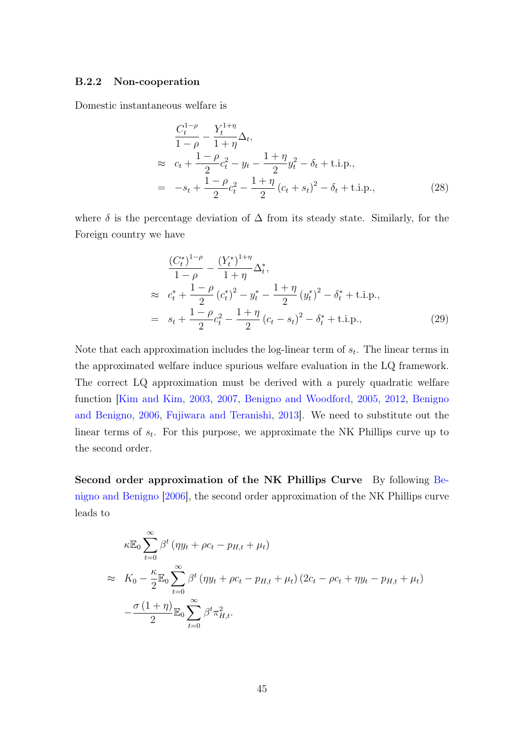#### B.2.2 Non-cooperation

Domestic instantaneous welfare is

<span id="page-44-0"></span>
$$
\frac{C_t^{1-\rho}}{1-\rho} - \frac{Y_t^{1+\eta}}{1+\eta} \Delta_t,
$$
\n
$$
\approx c_t + \frac{1-\rho}{2}c_t^2 - y_t - \frac{1+\eta}{2}y_t^2 - \delta_t + \text{t.i.p.},
$$
\n
$$
= -s_t + \frac{1-\rho}{2}c_t^2 - \frac{1+\eta}{2}(c_t + s_t)^2 - \delta_t + \text{t.i.p.},
$$
\n(28)

where  $\delta$  is the percentage deviation of  $\Delta$  from its steady state. Similarly, for the Foreign country we have

$$
\frac{(C_t^*)^{1-\rho}}{1-\rho} - \frac{(Y_t^*)^{1+\eta}}{1+\eta} \Delta_t^*,
$$
\n
$$
\approx c_t^* + \frac{1-\rho}{2} (c_t^*)^2 - y_t^* - \frac{1+\eta}{2} (y_t^*)^2 - \delta_t^* + \text{t.i.p.},
$$
\n
$$
= s_t + \frac{1-\rho}{2} c_t^2 - \frac{1+\eta}{2} (c_t - s_t)^2 - \delta_t^* + \text{t.i.p.},
$$
\n(29)

Note that each approximation includes the log-linear term of  $s_t$ . The linear terms in the approximated welfare induce spurious welfare evaluation in the LQ framework. The correct LQ approximation must be derived with a purely quadratic welfare function [\[Kim and Kim,](#page-28-3) [2003,](#page-28-3) [2007,](#page-28-4) [Benigno and Woodford,](#page-26-6) [2005,](#page-26-6) [2012,](#page-26-7) [Benigno](#page-26-2) [and Benigno,](#page-26-2) [2006,](#page-26-2) [Fujiwara and Teranishi,](#page-27-11) [2013\]](#page-27-11). We need to substitute out the linear terms of  $s_t$ . For this purpose, we approximate the NK Phillips curve up to the second order.

Second order approximation of the NK Phillips Curve By following [Be](#page-26-2)[nigno and Benigno](#page-26-2) [\[2006\]](#page-26-2), the second order approximation of the NK Phillips curve leads to

$$
\kappa \mathbb{E}_0 \sum_{t=0}^{\infty} \beta^t (\eta y_t + \rho c_t - p_{H,t} + \mu_t)
$$
  
\n
$$
\approx K_0 - \frac{\kappa}{2} \mathbb{E}_0 \sum_{t=0}^{\infty} \beta^t (\eta y_t + \rho c_t - p_{H,t} + \mu_t) (2c_t - \rho c_t + \eta y_t - p_{H,t} + \mu_t)
$$
  
\n
$$
-\frac{\sigma (1+\eta)}{2} \mathbb{E}_0 \sum_{t=0}^{\infty} \beta^t \pi_{H,t}^2.
$$